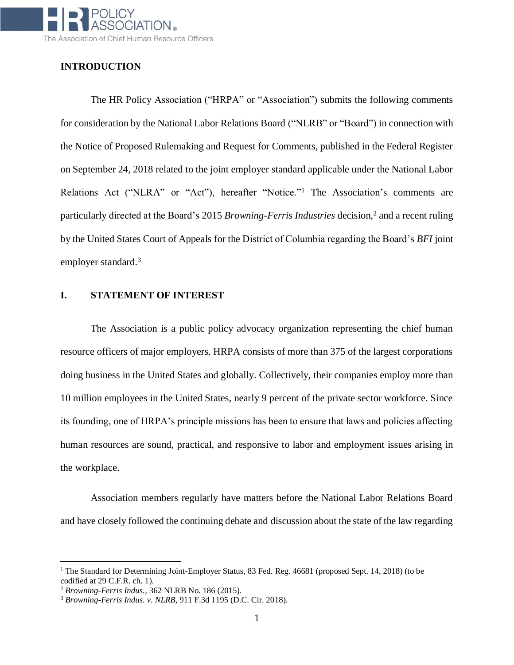

## **INTRODUCTION**

The HR Policy Association ("HRPA" or "Association") submits the following comments for consideration by the National Labor Relations Board ("NLRB" or "Board") in connection with the Notice of Proposed Rulemaking and Request for Comments, published in the Federal Register on September 24, 2018 related to the joint employer standard applicable under the National Labor Relations Act ("NLRA" or "Act"), hereafter "Notice."<sup>1</sup> The Association's comments are particularly directed at the Board's 2015 *Browning-Ferris Industries* decision,<sup>2</sup> and a recent ruling by the United States Court of Appeals for the District of Columbia regarding the Board's *BFI* joint employer standard.<sup>3</sup>

#### **I. STATEMENT OF INTEREST**

The Association is a public policy advocacy organization representing the chief human resource officers of major employers. HRPA consists of more than 375 of the largest corporations doing business in the United States and globally. Collectively, their companies employ more than 10 million employees in the United States, nearly 9 percent of the private sector workforce. Since its founding, one of HRPA's principle missions has been to ensure that laws and policies affecting human resources are sound, practical, and responsive to labor and employment issues arising in the workplace.

Association members regularly have matters before the National Labor Relations Board and have closely followed the continuing debate and discussion about the state of the law regarding

 $\overline{\phantom{0}}$ 

<sup>&</sup>lt;sup>1</sup> The Standard for Determining Joint-Employer Status, 83 Fed. Reg. 46681 (proposed Sept. 14, 2018) (to be codified at 29 C.F.R. ch. 1).

<sup>2</sup> *Browning-Ferris Indus.*, 362 NLRB No. 186 (2015).

<sup>3</sup> *Browning-Ferris Indus. v. NLRB*, 911 F.3d 1195 (D.C. Cir. 2018).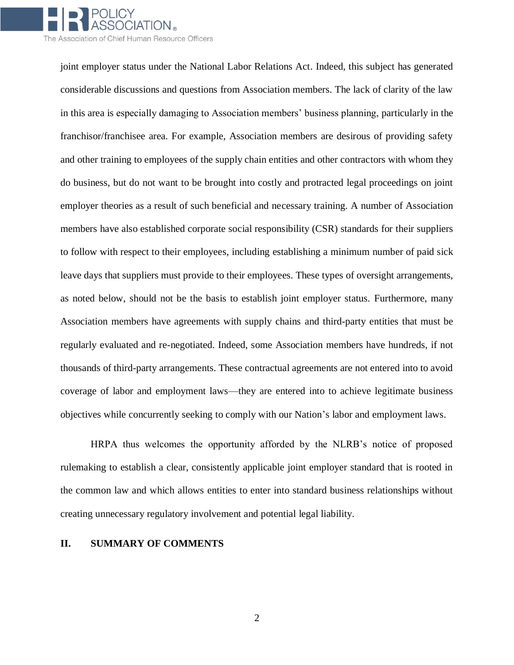

joint employer status under the National Labor Relations Act. Indeed, this subject has generated considerable discussions and questions from Association members. The lack of clarity of the law in this area is especially damaging to Association members' business planning, particularly in the franchisor/franchisee area. For example, Association members are desirous of providing safety and other training to employees of the supply chain entities and other contractors with whom they do business, but do not want to be brought into costly and protracted legal proceedings on joint employer theories as a result of such beneficial and necessary training. A number of Association members have also established corporate social responsibility (CSR) standards for their suppliers to follow with respect to their employees, including establishing a minimum number of paid sick leave days that suppliers must provide to their employees. These types of oversight arrangements, as noted below, should not be the basis to establish joint employer status. Furthermore, many Association members have agreements with supply chains and third-party entities that must be regularly evaluated and re-negotiated. Indeed, some Association members have hundreds, if not thousands of third-party arrangements. These contractual agreements are not entered into to avoid coverage of labor and employment laws—they are entered into to achieve legitimate business objectives while concurrently seeking to comply with our Nation's labor and employment laws.

HRPA thus welcomes the opportunity afforded by the NLRB's notice of proposed rulemaking to establish a clear, consistently applicable joint employer standard that is rooted in the common law and which allows entities to enter into standard business relationships without creating unnecessary regulatory involvement and potential legal liability.

#### **II. SUMMARY OF COMMENTS**

2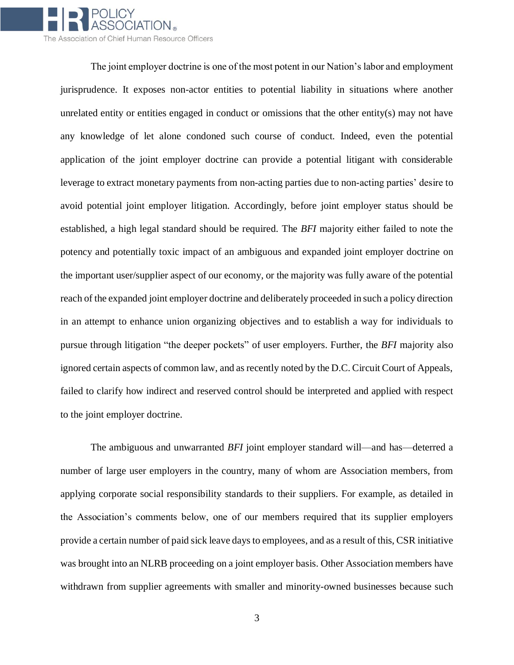

The joint employer doctrine is one of the most potent in our Nation's labor and employment jurisprudence. It exposes non-actor entities to potential liability in situations where another unrelated entity or entities engaged in conduct or omissions that the other entity(s) may not have any knowledge of let alone condoned such course of conduct. Indeed, even the potential application of the joint employer doctrine can provide a potential litigant with considerable leverage to extract monetary payments from non-acting parties due to non-acting parties' desire to avoid potential joint employer litigation. Accordingly, before joint employer status should be established, a high legal standard should be required. The *BFI* majority either failed to note the potency and potentially toxic impact of an ambiguous and expanded joint employer doctrine on the important user/supplier aspect of our economy, or the majority was fully aware of the potential reach of the expanded joint employer doctrine and deliberately proceeded in such a policy direction in an attempt to enhance union organizing objectives and to establish a way for individuals to pursue through litigation "the deeper pockets" of user employers. Further, the *BFI* majority also ignored certain aspects of common law, and as recently noted by the D.C. Circuit Court of Appeals, failed to clarify how indirect and reserved control should be interpreted and applied with respect to the joint employer doctrine.

The ambiguous and unwarranted *BFI* joint employer standard will—and has—deterred a number of large user employers in the country, many of whom are Association members, from applying corporate social responsibility standards to their suppliers. For example, as detailed in the Association's comments below, one of our members required that its supplier employers provide a certain number of paid sick leave days to employees, and as a result of this, CSR initiative was brought into an NLRB proceeding on a joint employer basis. Other Association members have withdrawn from supplier agreements with smaller and minority-owned businesses because such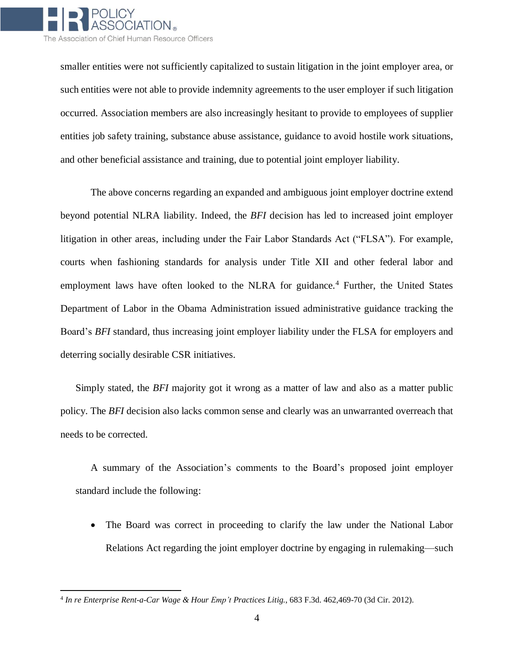

l

smaller entities were not sufficiently capitalized to sustain litigation in the joint employer area, or such entities were not able to provide indemnity agreements to the user employer if such litigation occurred. Association members are also increasingly hesitant to provide to employees of supplier entities job safety training, substance abuse assistance, guidance to avoid hostile work situations, and other beneficial assistance and training, due to potential joint employer liability.

The above concerns regarding an expanded and ambiguous joint employer doctrine extend beyond potential NLRA liability. Indeed, the *BFI* decision has led to increased joint employer litigation in other areas, including under the Fair Labor Standards Act ("FLSA"). For example, courts when fashioning standards for analysis under Title XII and other federal labor and employment laws have often looked to the NLRA for guidance.<sup>4</sup> Further, the United States Department of Labor in the Obama Administration issued administrative guidance tracking the Board's *BFI* standard*,* thus increasing joint employer liability under the FLSA for employers and deterring socially desirable CSR initiatives.

Simply stated, the *BFI* majority got it wrong as a matter of law and also as a matter public policy. The *BFI* decision also lacks common sense and clearly was an unwarranted overreach that needs to be corrected.

A summary of the Association's comments to the Board's proposed joint employer standard include the following:

• The Board was correct in proceeding to clarify the law under the National Labor Relations Act regarding the joint employer doctrine by engaging in rulemaking—such

<sup>4</sup> *In re Enterprise Rent-a-Car Wage & Hour Emp't Practices Litig.*, 683 F.3d. 462,469-70 (3d Cir. 2012).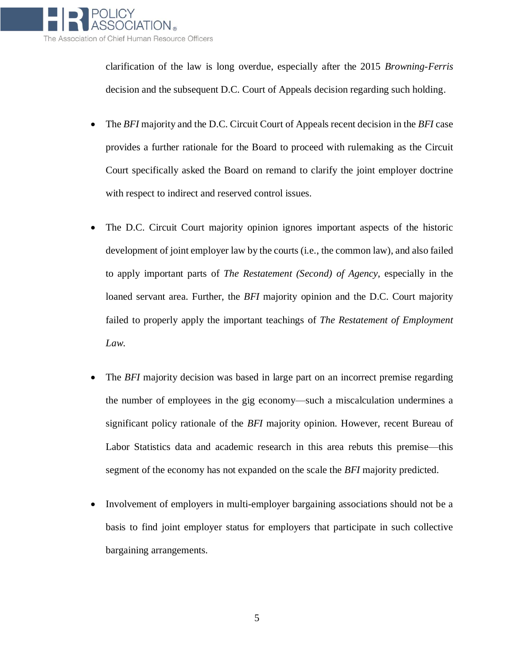

clarification of the law is long overdue, especially after the 2015 *Browning-Ferris* decision and the subsequent D.C. Court of Appeals decision regarding such holding.

- The *BFI* majority and the D.C. Circuit Court of Appeals recent decision in the *BFI* case provides a further rationale for the Board to proceed with rulemaking as the Circuit Court specifically asked the Board on remand to clarify the joint employer doctrine with respect to indirect and reserved control issues.
- The D.C. Circuit Court majority opinion ignores important aspects of the historic development of joint employer law by the courts (i.e., the common law), and also failed to apply important parts of *The Restatement (Second) of Agency*, especially in the loaned servant area. Further, the *BFI* majority opinion and the D.C. Court majority failed to properly apply the important teachings of *The Restatement of Employment Law*.
- The *BFI* majority decision was based in large part on an incorrect premise regarding the number of employees in the gig economy—such a miscalculation undermines a significant policy rationale of the *BFI* majority opinion. However, recent Bureau of Labor Statistics data and academic research in this area rebuts this premise—this segment of the economy has not expanded on the scale the *BFI* majority predicted.
- Involvement of employers in multi-employer bargaining associations should not be a basis to find joint employer status for employers that participate in such collective bargaining arrangements.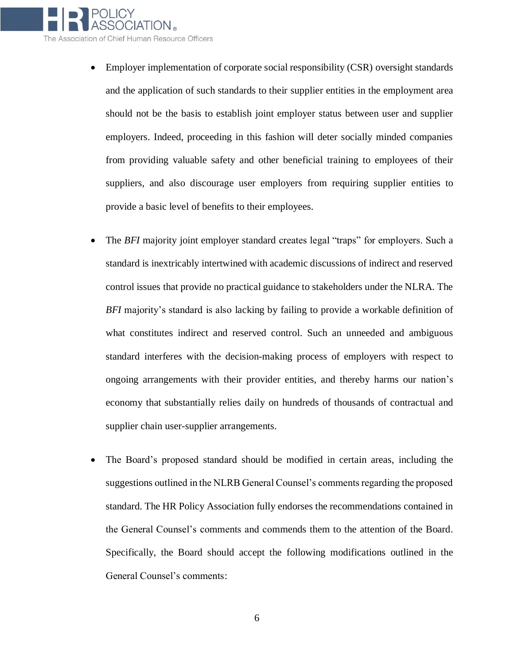

- Employer implementation of corporate social responsibility (CSR) oversight standards and the application of such standards to their supplier entities in the employment area should not be the basis to establish joint employer status between user and supplier employers. Indeed, proceeding in this fashion will deter socially minded companies from providing valuable safety and other beneficial training to employees of their suppliers, and also discourage user employers from requiring supplier entities to provide a basic level of benefits to their employees.
- The *BFI* majority joint employer standard creates legal "traps" for employers. Such a standard is inextricably intertwined with academic discussions of indirect and reserved control issues that provide no practical guidance to stakeholders under the NLRA. The *BFI* majority's standard is also lacking by failing to provide a workable definition of what constitutes indirect and reserved control. Such an unneeded and ambiguous standard interferes with the decision-making process of employers with respect to ongoing arrangements with their provider entities, and thereby harms our nation's economy that substantially relies daily on hundreds of thousands of contractual and supplier chain user-supplier arrangements.
- The Board's proposed standard should be modified in certain areas, including the suggestions outlined in the NLRB General Counsel's comments regarding the proposed standard. The HR Policy Association fully endorses the recommendations contained in the General Counsel's comments and commends them to the attention of the Board. Specifically, the Board should accept the following modifications outlined in the General Counsel's comments: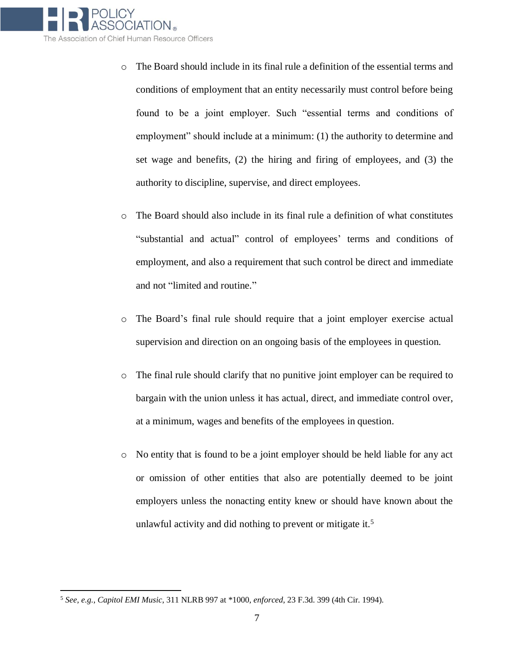

- o The Board should include in its final rule a definition of the essential terms and conditions of employment that an entity necessarily must control before being found to be a joint employer. Such "essential terms and conditions of employment" should include at a minimum: (1) the authority to determine and set wage and benefits, (2) the hiring and firing of employees, and (3) the authority to discipline, supervise, and direct employees.
- o The Board should also include in its final rule a definition of what constitutes "substantial and actual" control of employees' terms and conditions of employment, and also a requirement that such control be direct and immediate and not "limited and routine."
- o The Board's final rule should require that a joint employer exercise actual supervision and direction on an ongoing basis of the employees in question.
- o The final rule should clarify that no punitive joint employer can be required to bargain with the union unless it has actual, direct, and immediate control over, at a minimum, wages and benefits of the employees in question.
- o No entity that is found to be a joint employer should be held liable for any act or omission of other entities that also are potentially deemed to be joint employers unless the nonacting entity knew or should have known about the unlawful activity and did nothing to prevent or mitigate it.<sup>5</sup>

l

<sup>5</sup> *See, e.g.*, *Capitol EMI Music*, 311 NLRB 997 at \*1000, *enforced*, 23 F.3d. 399 (4th Cir. 1994).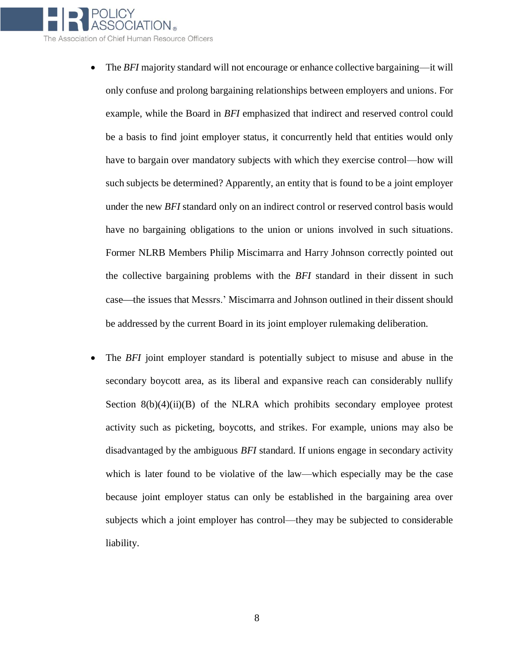

- The *BFI* majority standard will not encourage or enhance collective bargaining—it will only confuse and prolong bargaining relationships between employers and unions. For example, while the Board in *BFI* emphasized that indirect and reserved control could be a basis to find joint employer status, it concurrently held that entities would only have to bargain over mandatory subjects with which they exercise control—how will such subjects be determined? Apparently, an entity that is found to be a joint employer under the new *BFI* standard only on an indirect control or reserved control basis would have no bargaining obligations to the union or unions involved in such situations. Former NLRB Members Philip Miscimarra and Harry Johnson correctly pointed out the collective bargaining problems with the *BFI* standard in their dissent in such case—the issues that Messrs.' Miscimarra and Johnson outlined in their dissent should be addressed by the current Board in its joint employer rulemaking deliberation.
- The *BFI* joint employer standard is potentially subject to misuse and abuse in the secondary boycott area, as its liberal and expansive reach can considerably nullify Section  $8(b)(4)(ii)(B)$  of the NLRA which prohibits secondary employee protest activity such as picketing, boycotts, and strikes. For example, unions may also be disadvantaged by the ambiguous *BFI* standard. If unions engage in secondary activity which is later found to be violative of the law—which especially may be the case because joint employer status can only be established in the bargaining area over subjects which a joint employer has control—they may be subjected to considerable liability.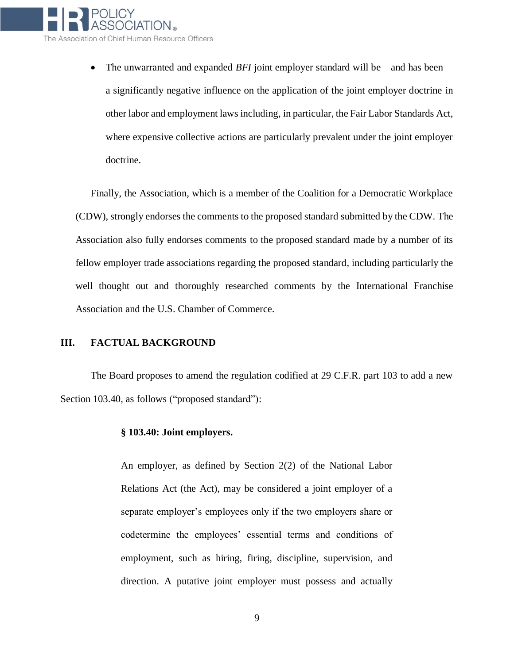

• The unwarranted and expanded *BFI* joint employer standard will be—and has been a significantly negative influence on the application of the joint employer doctrine in other labor and employment laws including, in particular, the Fair Labor Standards Act, where expensive collective actions are particularly prevalent under the joint employer doctrine.

Finally, the Association, which is a member of the Coalition for a Democratic Workplace (CDW), strongly endorses the comments to the proposed standard submitted by the CDW. The Association also fully endorses comments to the proposed standard made by a number of its fellow employer trade associations regarding the proposed standard, including particularly the well thought out and thoroughly researched comments by the International Franchise Association and the U.S. Chamber of Commerce.

#### **III. FACTUAL BACKGROUND**

The Board proposes to amend the regulation codified at 29 C.F.R. part 103 to add a new Section 103.40, as follows ("proposed standard"):

#### **§ 103.40: Joint employers.**

An employer, as defined by Section 2(2) of the National Labor Relations Act (the Act), may be considered a joint employer of a separate employer's employees only if the two employers share or codetermine the employees' essential terms and conditions of employment, such as hiring, firing, discipline, supervision, and direction. A putative joint employer must possess and actually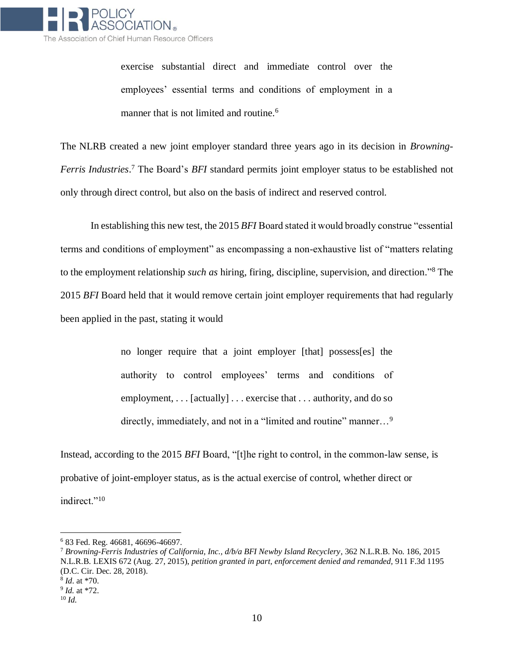

exercise substantial direct and immediate control over the employees' essential terms and conditions of employment in a manner that is not limited and routine.<sup>6</sup>

The NLRB created a new joint employer standard three years ago in its decision in *Browning-Ferris Industries*. <sup>7</sup> The Board's *BFI* standard permits joint employer status to be established not only through direct control, but also on the basis of indirect and reserved control.

In establishing this new test, the 2015 *BFI* Board stated it would broadly construe "essential terms and conditions of employment" as encompassing a non-exhaustive list of "matters relating to the employment relationship *such as* hiring, firing, discipline, supervision, and direction." <sup>8</sup> The 2015 *BFI* Board held that it would remove certain joint employer requirements that had regularly been applied in the past, stating it would

> no longer require that a joint employer [that] possess[es] the authority to control employees' terms and conditions of employment, . . . [actually] . . . exercise that . . . authority, and do so directly, immediately, and not in a "limited and routine" manner…<sup>9</sup>

Instead, according to the 2015 *BFI* Board, "[t]he right to control, in the common-law sense, is probative of joint-employer status, as is the actual exercise of control, whether direct or indirect."<sup>10</sup>

 $\overline{\phantom{0}}$ 

<sup>6</sup> 83 Fed. Reg. 46681, 46696-46697.

<sup>7</sup> *Browning-Ferris Industries of California, Inc., d/b/a BFI Newby Island Recyclery*, 362 N.L.R.B. No. 186, 2015 N.L.R.B. LEXIS 672 (Aug. 27, 2015), *petition granted in part, enforcement denied and remanded,* 911 F.3d 1195 (D.C. Cir. Dec. 28, 2018).

<sup>8</sup> *Id*. at \*70.

<sup>9</sup> *Id.* at \*72.

<sup>10</sup> *Id.*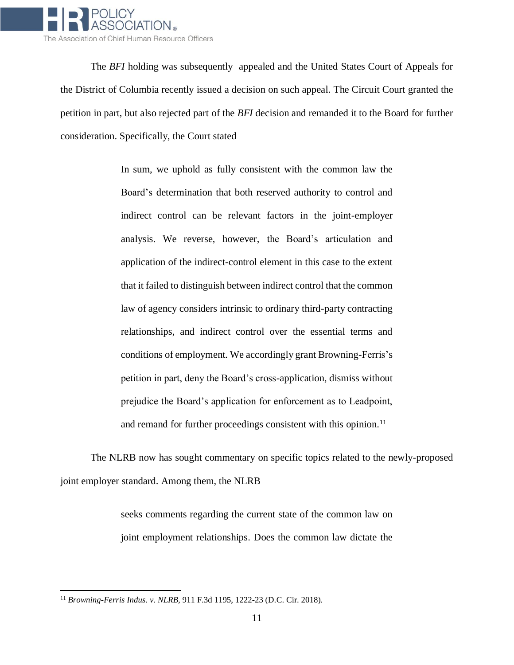

The *BFI* holding was subsequently appealed and the United States Court of Appeals for the District of Columbia recently issued a decision on such appeal. The Circuit Court granted the petition in part, but also rejected part of the *BFI* decision and remanded it to the Board for further consideration. Specifically, the Court stated

> In sum, we uphold as fully consistent with the common law the Board's determination that both reserved authority to control and indirect control can be relevant factors in the joint-employer analysis. We reverse, however, the Board's articulation and application of the indirect-control element in this case to the extent that it failed to distinguish between indirect control that the common law of agency considers intrinsic to ordinary third-party contracting relationships, and indirect control over the essential terms and conditions of employment. We accordingly grant Browning-Ferris's petition in part, deny the Board's cross-application, dismiss without prejudice the Board's application for enforcement as to Leadpoint, and remand for further proceedings consistent with this opinion.<sup>11</sup>

The NLRB now has sought commentary on specific topics related to the newly-proposed joint employer standard. Among them, the NLRB

> seeks comments regarding the current state of the common law on joint employment relationships. Does the common law dictate the

l

<sup>11</sup> *Browning-Ferris Indus. v. NLRB*, 911 F.3d 1195, 1222-23 (D.C. Cir. 2018).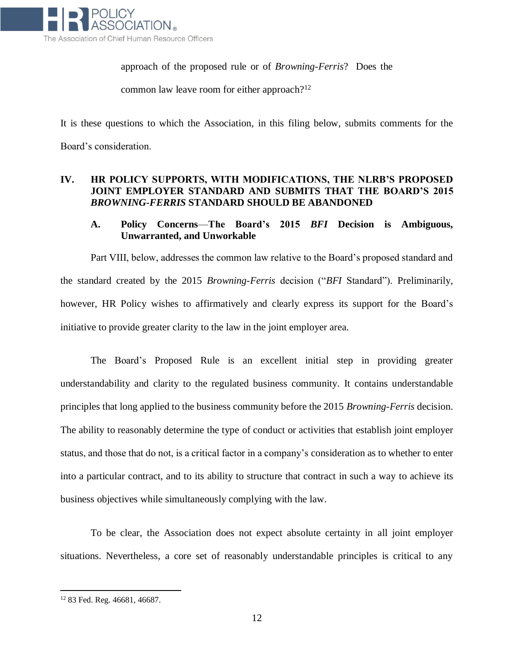

approach of the proposed rule or of *Browning-Ferris*? Does the

common law leave room for either approach?<sup>12</sup>

It is these questions to which the Association, in this filing below, submits comments for the Board's consideration.

### **IV. HR POLICY SUPPORTS, WITH MODIFICATIONS, THE NLRB'S PROPOSED JOINT EMPLOYER STANDARD AND SUBMITS THAT THE BOARD'S 2015**  *BROWNING-FERRIS* **STANDARD SHOULD BE ABANDONED**

### **A. Policy Concerns**—**The Board's 2015** *BFI* **Decision is Ambiguous, Unwarranted, and Unworkable**

Part VIII, below, addresses the common law relative to the Board's proposed standard and the standard created by the 2015 *Browning-Ferris* decision ("*BFI* Standard"). Preliminarily, however, HR Policy wishes to affirmatively and clearly express its support for the Board's initiative to provide greater clarity to the law in the joint employer area.

The Board's Proposed Rule is an excellent initial step in providing greater understandability and clarity to the regulated business community. It contains understandable principles that long applied to the business community before the 2015 *Browning-Ferris* decision. The ability to reasonably determine the type of conduct or activities that establish joint employer status, and those that do not, is a critical factor in a company's consideration as to whether to enter into a particular contract, and to its ability to structure that contract in such a way to achieve its business objectives while simultaneously complying with the law.

To be clear, the Association does not expect absolute certainty in all joint employer situations. Nevertheless, a core set of reasonably understandable principles is critical to any

l

<sup>12</sup> 83 Fed. Reg. 46681, 46687.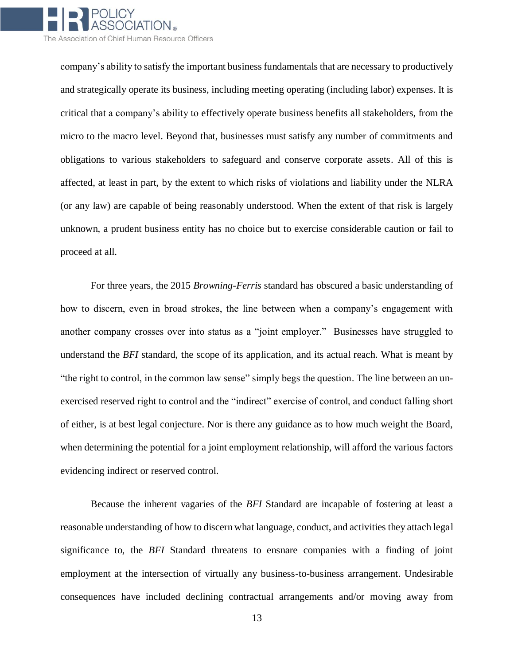

company's ability to satisfy the important business fundamentals that are necessary to productively and strategically operate its business, including meeting operating (including labor) expenses. It is critical that a company's ability to effectively operate business benefits all stakeholders, from the micro to the macro level. Beyond that, businesses must satisfy any number of commitments and obligations to various stakeholders to safeguard and conserve corporate assets. All of this is affected, at least in part, by the extent to which risks of violations and liability under the NLRA (or any law) are capable of being reasonably understood. When the extent of that risk is largely unknown, a prudent business entity has no choice but to exercise considerable caution or fail to proceed at all.

For three years, the 2015 *Browning-Ferris* standard has obscured a basic understanding of how to discern, even in broad strokes, the line between when a company's engagement with another company crosses over into status as a "joint employer." Businesses have struggled to understand the *BFI* standard, the scope of its application, and its actual reach. What is meant by "the right to control, in the common law sense" simply begs the question. The line between an unexercised reserved right to control and the "indirect" exercise of control, and conduct falling short of either, is at best legal conjecture. Nor is there any guidance as to how much weight the Board, when determining the potential for a joint employment relationship, will afford the various factors evidencing indirect or reserved control.

Because the inherent vagaries of the *BFI* Standard are incapable of fostering at least a reasonable understanding of how to discern what language, conduct, and activities they attach legal significance to, the *BFI* Standard threatens to ensnare companies with a finding of joint employment at the intersection of virtually any business-to-business arrangement. Undesirable consequences have included declining contractual arrangements and/or moving away from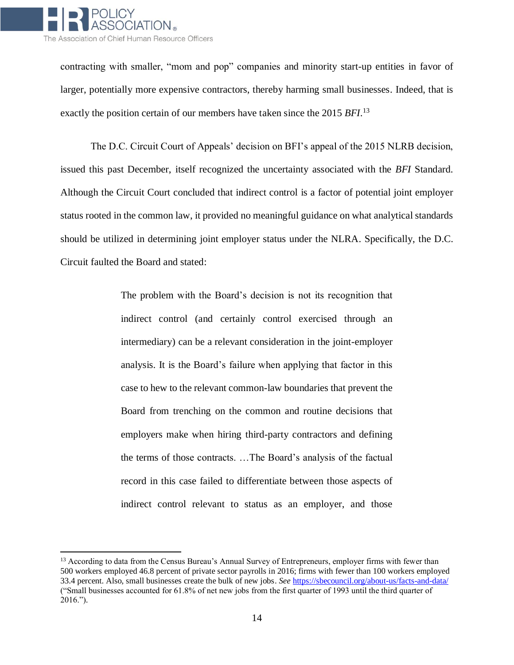

l

contracting with smaller, "mom and pop" companies and minority start-up entities in favor of larger, potentially more expensive contractors, thereby harming small businesses. Indeed, that is exactly the position certain of our members have taken since the 2015 *BFI*. 13

The D.C. Circuit Court of Appeals' decision on BFI's appeal of the 2015 NLRB decision, issued this past December, itself recognized the uncertainty associated with the *BFI* Standard. Although the Circuit Court concluded that indirect control is a factor of potential joint employer status rooted in the common law, it provided no meaningful guidance on what analytical standards should be utilized in determining joint employer status under the NLRA. Specifically, the D.C. Circuit faulted the Board and stated:

> The problem with the Board's decision is not its recognition that indirect control (and certainly control exercised through an intermediary) can be a relevant consideration in the joint-employer analysis. It is the Board's failure when applying that factor in this case to hew to the relevant common-law boundaries that prevent the Board from trenching on the common and routine decisions that employers make when hiring third-party contractors and defining the terms of those contracts. …The Board's analysis of the factual record in this case failed to differentiate between those aspects of indirect control relevant to status as an employer, and those

<sup>&</sup>lt;sup>13</sup> According to data from the Census Bureau's Annual Survey of Entrepreneurs, employer firms with fewer than 500 workers employed 46.8 percent of private sector payrolls in 2016; firms with fewer than 100 workers employed 33.4 percent. Also, small businesses create the bulk of new jobs. *See* <https://sbecouncil.org/about-us/facts-and-data/> ("Small businesses accounted for 61.8% of net new jobs from the first quarter of 1993 until the third quarter of 2016.").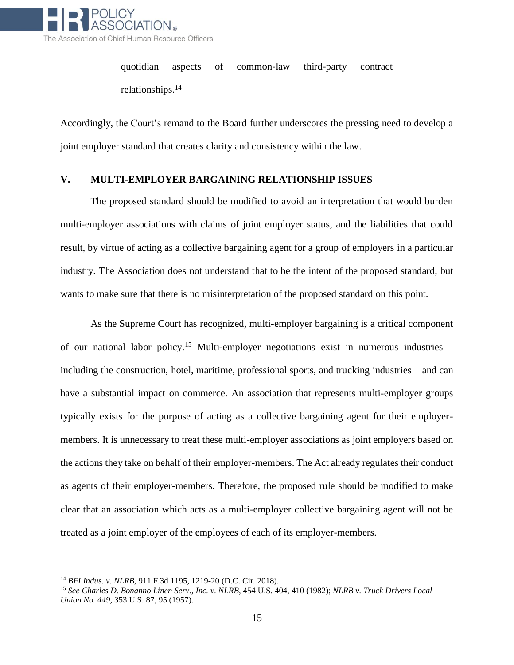

quotidian aspects of common-law third-party contract relationships.<sup>14</sup>

Accordingly, the Court's remand to the Board further underscores the pressing need to develop a joint employer standard that creates clarity and consistency within the law.

#### **V. MULTI-EMPLOYER BARGAINING RELATIONSHIP ISSUES**

The proposed standard should be modified to avoid an interpretation that would burden multi-employer associations with claims of joint employer status, and the liabilities that could result, by virtue of acting as a collective bargaining agent for a group of employers in a particular industry. The Association does not understand that to be the intent of the proposed standard, but wants to make sure that there is no misinterpretation of the proposed standard on this point.

As the Supreme Court has recognized, multi-employer bargaining is a critical component of our national labor policy.<sup>15</sup> Multi-employer negotiations exist in numerous industries including the construction, hotel, maritime, professional sports, and trucking industries—and can have a substantial impact on commerce. An association that represents multi-employer groups typically exists for the purpose of acting as a collective bargaining agent for their employermembers. It is unnecessary to treat these multi-employer associations as joint employers based on the actions they take on behalf of their employer-members. The Act already regulates their conduct as agents of their employer-members. Therefore, the proposed rule should be modified to make clear that an association which acts as a multi-employer collective bargaining agent will not be treated as a joint employer of the employees of each of its employer-members.

<sup>14</sup> *BFI Indus. v. NLRB*, 911 F.3d 1195, 1219-20 (D.C. Cir. 2018).

<sup>15</sup> *See Charles D. Bonanno Linen Serv., Inc. v. NLRB*, 454 U.S. 404, 410 (1982); *NLRB v. Truck Drivers Local Union No. 449*, 353 U.S. 87, 95 (1957).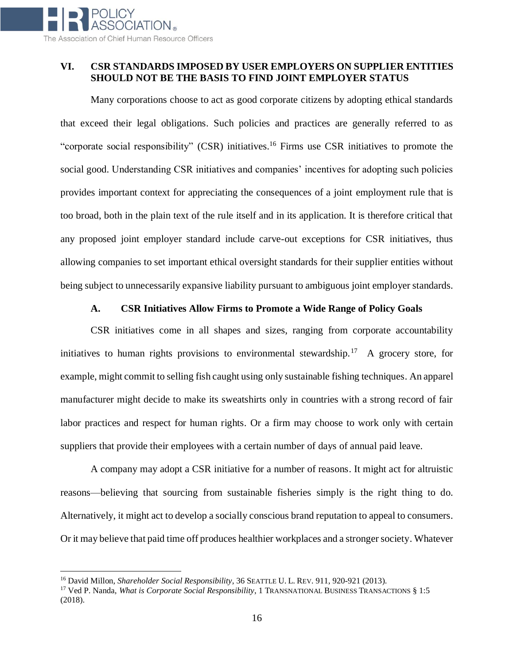### **VI. CSR STANDARDS IMPOSED BY USER EMPLOYERS ON SUPPLIER ENTITIES SHOULD NOT BE THE BASIS TO FIND JOINT EMPLOYER STATUS**

Many corporations choose to act as good corporate citizens by adopting ethical standards that exceed their legal obligations. Such policies and practices are generally referred to as "corporate social responsibility" (CSR) initiatives.<sup>16</sup> Firms use CSR initiatives to promote the social good. Understanding CSR initiatives and companies' incentives for adopting such policies provides important context for appreciating the consequences of a joint employment rule that is too broad, both in the plain text of the rule itself and in its application. It is therefore critical that any proposed joint employer standard include carve-out exceptions for CSR initiatives, thus allowing companies to set important ethical oversight standards for their supplier entities without being subject to unnecessarily expansive liability pursuant to ambiguous joint employer standards.

#### **A. CSR Initiatives Allow Firms to Promote a Wide Range of Policy Goals**

CSR initiatives come in all shapes and sizes, ranging from corporate accountability initiatives to human rights provisions to environmental stewardship.<sup>17</sup> A grocery store, for example, might commit to selling fish caught using only sustainable fishing techniques. An apparel manufacturer might decide to make its sweatshirts only in countries with a strong record of fair labor practices and respect for human rights. Or a firm may choose to work only with certain suppliers that provide their employees with a certain number of days of annual paid leave.

A company may adopt a CSR initiative for a number of reasons. It might act for altruistic reasons—believing that sourcing from sustainable fisheries simply is the right thing to do. Alternatively, it might act to develop a socially conscious brand reputation to appeal to consumers. Or it may believe that paid time off produces healthier workplaces and a stronger society. Whatever

<sup>16</sup> David Millon, *Shareholder Social Responsibility*, 36 SEATTLE U. L. REV. 911, 920-921 (2013).

<sup>17</sup> Ved P. Nanda, *What is Corporate Social Responsibility*, 1 TRANSNATIONAL BUSINESS TRANSACTIONS § 1:5 (2018).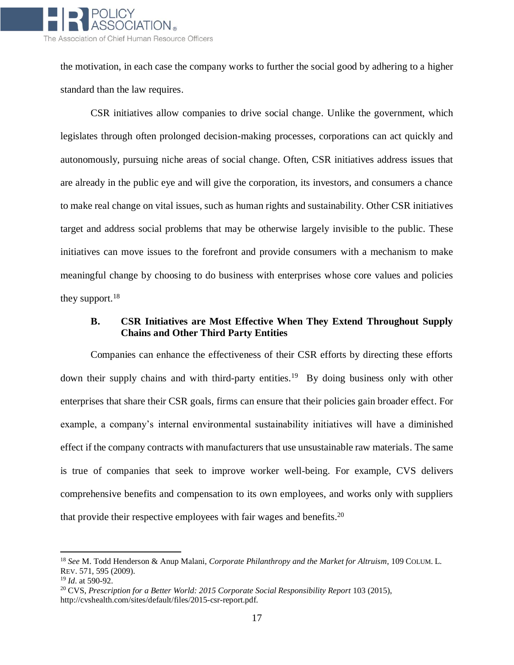

the motivation, in each case the company works to further the social good by adhering to a higher standard than the law requires.

CSR initiatives allow companies to drive social change. Unlike the government, which legislates through often prolonged decision-making processes, corporations can act quickly and autonomously, pursuing niche areas of social change. Often, CSR initiatives address issues that are already in the public eye and will give the corporation, its investors, and consumers a chance to make real change on vital issues, such as human rights and sustainability. Other CSR initiatives target and address social problems that may be otherwise largely invisible to the public. These initiatives can move issues to the forefront and provide consumers with a mechanism to make meaningful change by choosing to do business with enterprises whose core values and policies they support. $18$ 

#### **B. CSR Initiatives are Most Effective When They Extend Throughout Supply Chains and Other Third Party Entities**

Companies can enhance the effectiveness of their CSR efforts by directing these efforts down their supply chains and with third-party entities.<sup>19</sup> By doing business only with other enterprises that share their CSR goals, firms can ensure that their policies gain broader effect. For example, a company's internal environmental sustainability initiatives will have a diminished effect if the company contracts with manufacturers that use unsustainable raw materials. The same is true of companies that seek to improve worker well-being. For example, CVS delivers comprehensive benefits and compensation to its own employees, and works only with suppliers that provide their respective employees with fair wages and benefits.<sup>20</sup>

l

<sup>18</sup> *See* M. Todd Henderson & Anup Malani, *Corporate Philanthropy and the Market for Altruism*, 109 COLUM. L. REV. 571, 595 (2009).

<sup>19</sup> *Id*. at 590-92.

<sup>&</sup>lt;sup>20</sup> CVS, Prescription for a Better World: 2015 Corporate Social Responsibility Report 103 (2015), http://cvshealth.com/sites/default/files/2015-csr-report.pdf.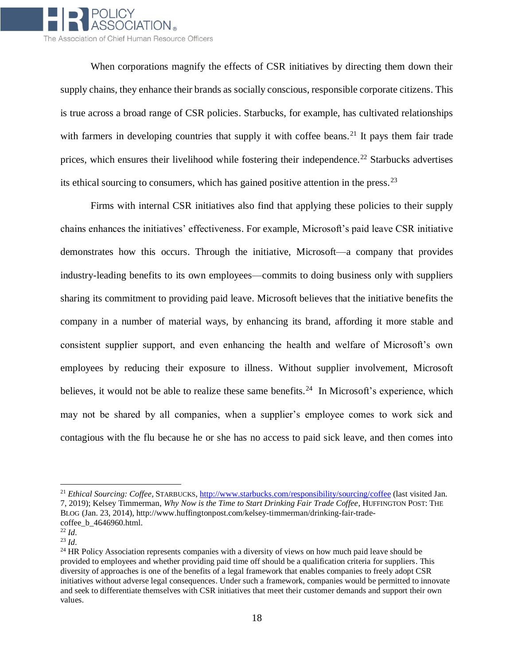

When corporations magnify the effects of CSR initiatives by directing them down their supply chains, they enhance their brands as socially conscious, responsible corporate citizens. This is true across a broad range of CSR policies. Starbucks, for example, has cultivated relationships with farmers in developing countries that supply it with coffee beans.<sup>21</sup> It pays them fair trade prices, which ensures their livelihood while fostering their independence.<sup>22</sup> Starbucks advertises its ethical sourcing to consumers, which has gained positive attention in the press.<sup>23</sup>

Firms with internal CSR initiatives also find that applying these policies to their supply chains enhances the initiatives' effectiveness. For example, Microsoft's paid leave CSR initiative demonstrates how this occurs. Through the initiative, Microsoft—a company that provides industry-leading benefits to its own employees—commits to doing business only with suppliers sharing its commitment to providing paid leave. Microsoft believes that the initiative benefits the company in a number of material ways, by enhancing its brand, affording it more stable and consistent supplier support, and even enhancing the health and welfare of Microsoft's own employees by reducing their exposure to illness. Without supplier involvement, Microsoft believes, it would not be able to realize these same benefits.<sup>24</sup> In Microsoft's experience, which may not be shared by all companies, when a supplier's employee comes to work sick and contagious with the flu because he or she has no access to paid sick leave, and then comes into

<sup>&</sup>lt;sup>21</sup> *Ethical Sourcing: Coffee*, STARBUCKS,<http://www.starbucks.com/responsibility/sourcing/coffee> (last visited Jan. 7, 2019); Kelsey Timmerman, *Why Now is the Time to Start Drinking Fair Trade Coffee*, HUFFINGTON POST: THE BLOG (Jan. 23, 2014), http://www.huffingtonpost.com/kelsey-timmerman/drinking-fair-tradecoffee\_b\_4646960.html.

 $^{22}$  *Id.* 

<sup>23</sup> *Id*.

<sup>&</sup>lt;sup>24</sup> HR Policy Association represents companies with a diversity of views on how much paid leave should be provided to employees and whether providing paid time off should be a qualification criteria for suppliers. This diversity of approaches is one of the benefits of a legal framework that enables companies to freely adopt CSR initiatives without adverse legal consequences. Under such a framework, companies would be permitted to innovate and seek to differentiate themselves with CSR initiatives that meet their customer demands and support their own values.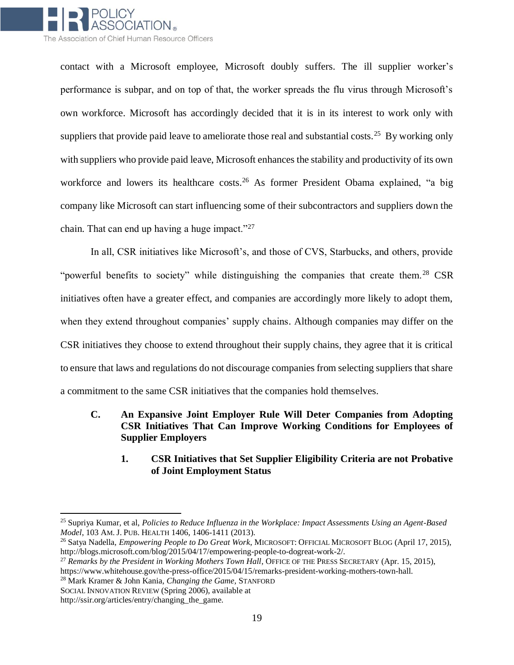

contact with a Microsoft employee, Microsoft doubly suffers. The ill supplier worker's performance is subpar, and on top of that, the worker spreads the flu virus through Microsoft's own workforce. Microsoft has accordingly decided that it is in its interest to work only with suppliers that provide paid leave to ameliorate those real and substantial costs.<sup>25</sup> By working only with suppliers who provide paid leave, Microsoft enhances the stability and productivity of its own workforce and lowers its healthcare costs.<sup>26</sup> As former President Obama explained, "a big company like Microsoft can start influencing some of their subcontractors and suppliers down the chain. That can end up having a huge impact."<sup>27</sup>

In all, CSR initiatives like Microsoft's, and those of CVS, Starbucks, and others, provide "powerful benefits to society" while distinguishing the companies that create them.<sup>28</sup> CSR initiatives often have a greater effect, and companies are accordingly more likely to adopt them, when they extend throughout companies' supply chains. Although companies may differ on the CSR initiatives they choose to extend throughout their supply chains, they agree that it is critical to ensure that laws and regulations do not discourage companies from selecting suppliers that share a commitment to the same CSR initiatives that the companies hold themselves.

# **C. An Expansive Joint Employer Rule Will Deter Companies from Adopting CSR Initiatives That Can Improve Working Conditions for Employees of Supplier Employers**

# **1. CSR Initiatives that Set Supplier Eligibility Criteria are not Probative of Joint Employment Status**

<sup>25</sup> Supriya Kumar, et al, *Policies to Reduce Influenza in the Workplace: Impact Assessments Using an Agent-Based Model*, 103 AM. J.PUB. HEALTH 1406, 1406-1411 (2013).

<sup>26</sup> Satya Nadella, *Empowering People to Do Great Work*, MICROSOFT: OFFICIAL MICROSOFT BLOG (April 17, 2015), http://blogs.microsoft.com/blog/2015/04/17/empowering-people-to-dogreat-work-2/.

<sup>&</sup>lt;sup>27</sup> *Remarks by the President in Working Mothers Town Hall*, OFFICE OF THE PRESS SECRETARY (Apr. 15, 2015),

https://www.whitehouse.gov/the-press-office/2015/04/15/remarks-president-working-mothers-town-hall.

<sup>28</sup> Mark Kramer & John Kania, *Changing the Game,* STANFORD SOCIAL INNOVATION REVIEW (Spring 2006), available at

http://ssir.org/articles/entry/changing\_the\_game.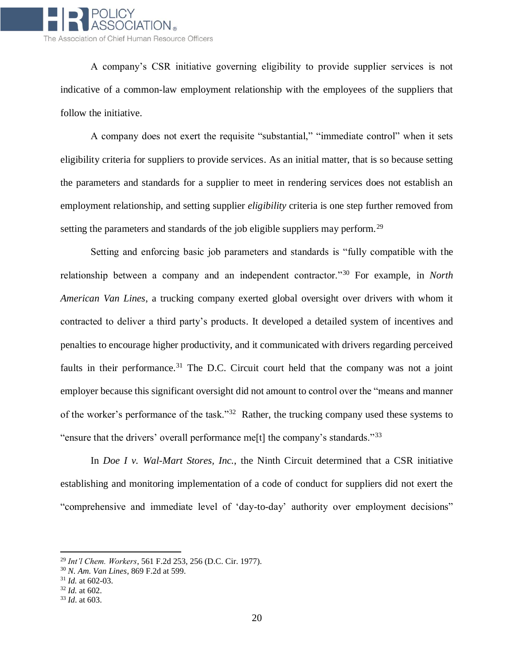

A company's CSR initiative governing eligibility to provide supplier services is not indicative of a common-law employment relationship with the employees of the suppliers that follow the initiative.

A company does not exert the requisite "substantial," "immediate control" when it sets eligibility criteria for suppliers to provide services. As an initial matter, that is so because setting the parameters and standards for a supplier to meet in rendering services does not establish an employment relationship, and setting supplier *eligibility* criteria is one step further removed from setting the parameters and standards of the job eligible suppliers may perform.<sup>29</sup>

Setting and enforcing basic job parameters and standards is "fully compatible with the relationship between a company and an independent contractor."<sup>30</sup> For example, in *North American Van Lines*, a trucking company exerted global oversight over drivers with whom it contracted to deliver a third party's products. It developed a detailed system of incentives and penalties to encourage higher productivity, and it communicated with drivers regarding perceived faults in their performance.<sup>31</sup> The D.C. Circuit court held that the company was not a joint employer because this significant oversight did not amount to control over the "means and manner of the worker's performance of the task."<sup>32</sup> Rather, the trucking company used these systems to "ensure that the drivers' overall performance me<sup>[t]</sup> the company's standards."<sup>33</sup>

In *Doe I v. Wal-Mart Stores, Inc.*, the Ninth Circuit determined that a CSR initiative establishing and monitoring implementation of a code of conduct for suppliers did not exert the "comprehensive and immediate level of 'day-to-day' authority over employment decisions"

l

<sup>29</sup> *Int'l Chem. Workers*, 561 F.2d 253, 256 (D.C. Cir. 1977).

<sup>30</sup> *N. Am. Van Lines*, 869 F.2d at 599.

<sup>31</sup> *Id.* at 602-03.

<sup>32</sup> *Id.* at 602.

<sup>33</sup> *Id*. at 603.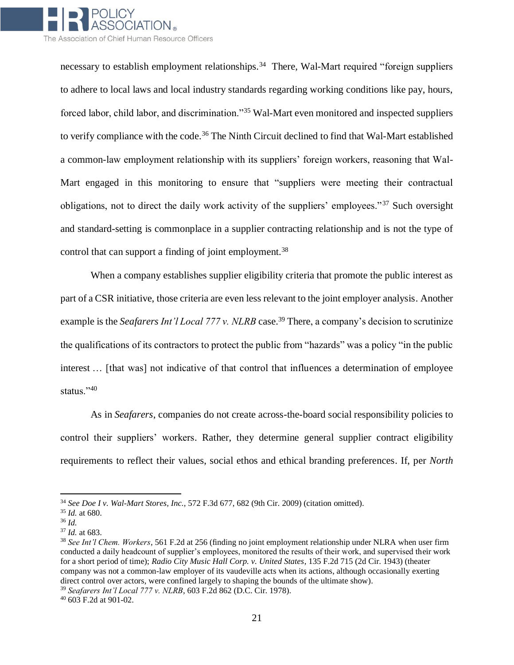

necessary to establish employment relationships.<sup>34</sup> There, Wal-Mart required "foreign suppliers to adhere to local laws and local industry standards regarding working conditions like pay, hours, forced labor, child labor, and discrimination."<sup>35</sup> Wal-Mart even monitored and inspected suppliers to verify compliance with the code.<sup>36</sup> The Ninth Circuit declined to find that Wal-Mart established a common-law employment relationship with its suppliers' foreign workers, reasoning that Wal-Mart engaged in this monitoring to ensure that "suppliers were meeting their contractual obligations, not to direct the daily work activity of the suppliers' employees."<sup>37</sup> Such oversight and standard-setting is commonplace in a supplier contracting relationship and is not the type of control that can support a finding of joint employment.<sup>38</sup>

When a company establishes supplier eligibility criteria that promote the public interest as part of a CSR initiative, those criteria are even less relevant to the joint employer analysis. Another example is the *Seafarers Int'l Local 777 v. NLRB* case. <sup>39</sup> There, a company's decision to scrutinize the qualifications of its contractors to protect the public from "hazards" was a policy "in the public interest ... [that was] not indicative of that control that influences a determination of employee status."<sup>40</sup>

As in *Seafarers*, companies do not create across-the-board social responsibility policies to control their suppliers' workers. Rather, they determine general supplier contract eligibility requirements to reflect their values, social ethos and ethical branding preferences. If, per *North* 

l

<sup>39</sup> *Seafarers Int'l Local 777 v. NLRB*, 603 F.2d 862 (D.C. Cir. 1978).

<sup>34</sup> *See Doe I v. Wal-Mart Stores, Inc.*, 572 F.3d 677, 682 (9th Cir. 2009) (citation omitted).

<sup>35</sup> *Id.* at 680.

<sup>36</sup> *Id.* 

<sup>37</sup> *Id.* at 683.

<sup>38</sup> *See Int'l Chem. Workers*, 561 F.2d at 256 (finding no joint employment relationship under NLRA when user firm conducted a daily headcount of supplier's employees, monitored the results of their work, and supervised their work for a short period of time); *Radio City Music Hall Corp. v. United States*, 135 F.2d 715 (2d Cir. 1943) (theater company was not a common-law employer of its vaudeville acts when its actions, although occasionally exerting direct control over actors, were confined largely to shaping the bounds of the ultimate show).

<sup>40</sup> 603 F.2d at 901-02.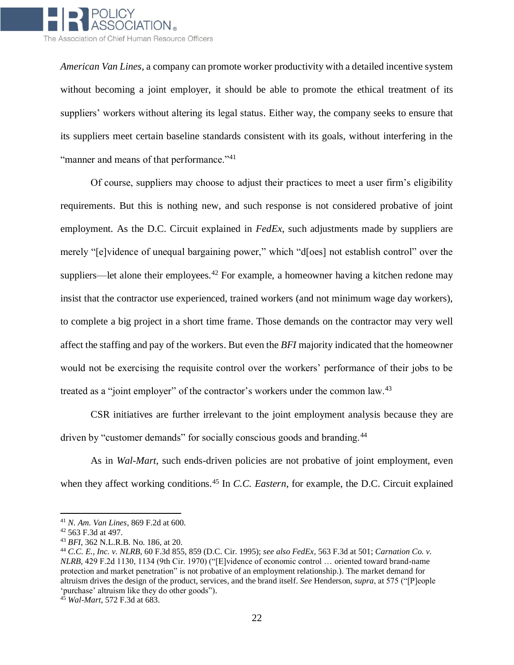

*American Van Lines*, a company can promote worker productivity with a detailed incentive system without becoming a joint employer, it should be able to promote the ethical treatment of its suppliers' workers without altering its legal status. Either way, the company seeks to ensure that its suppliers meet certain baseline standards consistent with its goals, without interfering in the "manner and means of that performance."<sup>41</sup>

Of course, suppliers may choose to adjust their practices to meet a user firm's eligibility requirements. But this is nothing new, and such response is not considered probative of joint employment. As the D.C. Circuit explained in *FedEx*, such adjustments made by suppliers are merely "[e]vidence of unequal bargaining power," which "d[oes] not establish control" over the suppliers—let alone their employees.<sup>42</sup> For example, a homeowner having a kitchen redone may insist that the contractor use experienced, trained workers (and not minimum wage day workers), to complete a big project in a short time frame. Those demands on the contractor may very well affect the staffing and pay of the workers. But even the *BFI* majority indicated that the homeowner would not be exercising the requisite control over the workers' performance of their jobs to be treated as a "joint employer" of the contractor's workers under the common law.<sup>43</sup>

CSR initiatives are further irrelevant to the joint employment analysis because they are driven by "customer demands" for socially conscious goods and branding.<sup>44</sup>

As in *Wal-Mart*, such ends-driven policies are not probative of joint employment, even when they affect working conditions.<sup>45</sup> In *C.C. Eastern*, for example, the D.C. Circuit explained

<sup>41</sup> *N. Am. Van Lines*, 869 F.2d at 600.

<sup>42</sup> 563 F.3d at 497.

<sup>43</sup> *BFI*, 362 N.L.R.B. No. 186, at 20.

<sup>44</sup> *C.C. E., Inc. v. NLRB*, 60 F.3d 855, 859 (D.C. Cir. 1995); *see also FedEx*, 563 F.3d at 501; *Carnation Co. v. NLRB,* 429 F.2d 1130, 1134 (9th Cir. 1970) ("[E]vidence of economic control … oriented toward brand-name protection and market penetration" is not probative of an employment relationship.). The market demand for altruism drives the design of the product, services, and the brand itself. *See* Henderson, *supra*, at 575 ("[P]eople 'purchase' altruism like they do other goods").

<sup>45</sup> *Wal-Mart*, 572 F.3d at 683.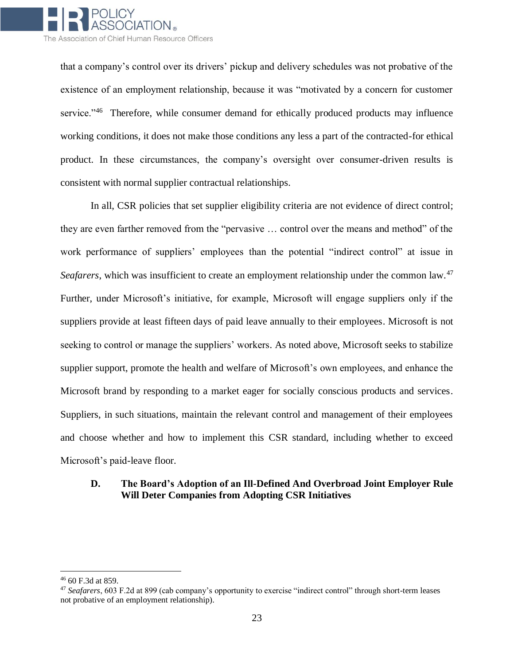

that a company's control over its drivers' pickup and delivery schedules was not probative of the existence of an employment relationship, because it was "motivated by a concern for customer service."<sup>46</sup> Therefore, while consumer demand for ethically produced products may influence working conditions, it does not make those conditions any less a part of the contracted-for ethical product. In these circumstances, the company's oversight over consumer-driven results is consistent with normal supplier contractual relationships.

In all, CSR policies that set supplier eligibility criteria are not evidence of direct control; they are even farther removed from the "pervasive … control over the means and method" of the work performance of suppliers' employees than the potential "indirect control" at issue in *Seafarers*, which was insufficient to create an employment relationship under the common law.<sup>47</sup> Further, under Microsoft's initiative, for example, Microsoft will engage suppliers only if the suppliers provide at least fifteen days of paid leave annually to their employees. Microsoft is not seeking to control or manage the suppliers' workers. As noted above, Microsoft seeks to stabilize supplier support, promote the health and welfare of Microsoft's own employees, and enhance the Microsoft brand by responding to a market eager for socially conscious products and services. Suppliers, in such situations, maintain the relevant control and management of their employees and choose whether and how to implement this CSR standard, including whether to exceed Microsoft's paid-leave floor.

#### **D. The Board's Adoption of an Ill-Defined And Overbroad Joint Employer Rule Will Deter Companies from Adopting CSR Initiatives**

<sup>46</sup> 60 F.3d at 859.

<sup>47</sup> *Seafarers*, 603 F.2d at 899 (cab company's opportunity to exercise "indirect control" through short-term leases not probative of an employment relationship).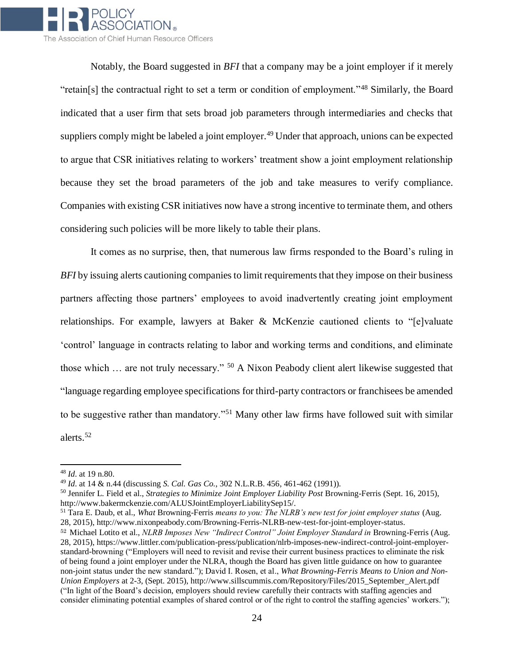

Notably, the Board suggested in *BFI* that a company may be a joint employer if it merely "retain[s] the contractual right to set a term or condition of employment."<sup>48</sup> Similarly, the Board indicated that a user firm that sets broad job parameters through intermediaries and checks that suppliers comply might be labeled a joint employer.<sup>49</sup> Under that approach, unions can be expected to argue that CSR initiatives relating to workers' treatment show a joint employment relationship because they set the broad parameters of the job and take measures to verify compliance. Companies with existing CSR initiatives now have a strong incentive to terminate them, and others considering such policies will be more likely to table their plans.

It comes as no surprise, then, that numerous law firms responded to the Board's ruling in *BFI* by issuing alerts cautioning companies to limit requirements that they impose on their business partners affecting those partners' employees to avoid inadvertently creating joint employment relationships. For example, lawyers at Baker & McKenzie cautioned clients to "[e]valuate 'control' language in contracts relating to labor and working terms and conditions, and eliminate those which … are not truly necessary." <sup>50</sup> A Nixon Peabody client alert likewise suggested that "language regarding employee specifications for third-party contractors or franchisees be amended to be suggestive rather than mandatory."<sup>51</sup> Many other law firms have followed suit with similar alerts.<sup>52</sup>

 $\overline{a}$ 

<sup>51</sup> Tara E. Daub, et al., *What* Browning-Ferris *means to you: The NLRB's new test for joint employer status* (Aug. 28, 2015), http://www.nixonpeabody.com/Browning-Ferris-NLRB-new-test-for-joint-employer-status. <sup>52</sup> Michael Lotito et al., *NLRB Imposes New "Indirect Control" Joint Employer Standard in* Browning-Ferris (Aug. 28, 2015), https://www.littler.com/publication-press/publication/nlrb-imposes-new-indirect-control-joint-employerstandard-browning ("Employers will need to revisit and revise their current business practices to eliminate the risk of being found a joint employer under the NLRA, though the Board has given little guidance on how to guarantee non-joint status under the new standard."); David I. Rosen, et al., *What Browning-Ferris Means to Union and Non-Union Employers* at 2-3, (Sept. 2015), http://www.sillscummis.com/Repository/Files/2015\_September\_Alert.pdf ("In light of the Board's decision, employers should review carefully their contracts with staffing agencies and consider eliminating potential examples of shared control or of the right to control the staffing agencies' workers.");

<sup>48</sup> *Id*. at 19 n.80.

<sup>49</sup> *Id*. at 14 & n.44 (discussing *S. Cal. Gas Co.*, 302 N.L.R.B. 456, 461-462 (1991)).

<sup>50</sup> Jennifer L. Field et al., *Strategies to Minimize Joint Employer Liability Post* Browning-Ferris (Sept. 16, 2015), http://www.bakermckenzie.com/ALUSJointEmployerLiabilitySep15/.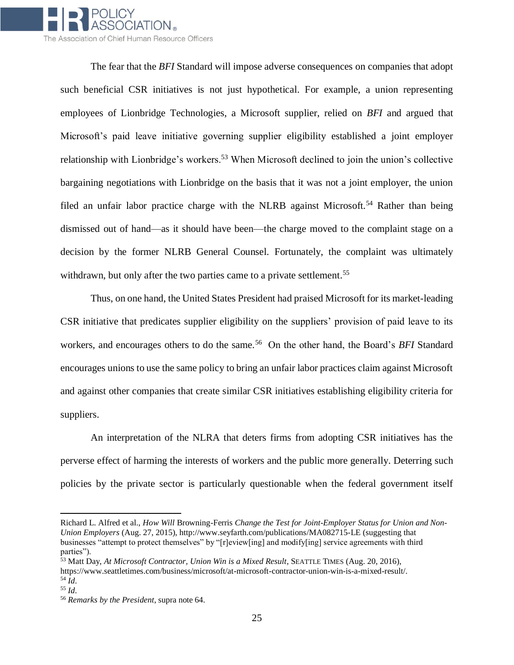

The fear that the *BFI* Standard will impose adverse consequences on companies that adopt such beneficial CSR initiatives is not just hypothetical. For example, a union representing employees of Lionbridge Technologies, a Microsoft supplier, relied on *BFI* and argued that Microsoft's paid leave initiative governing supplier eligibility established a joint employer relationship with Lionbridge's workers.<sup>53</sup> When Microsoft declined to join the union's collective bargaining negotiations with Lionbridge on the basis that it was not a joint employer, the union filed an unfair labor practice charge with the NLRB against Microsoft.<sup>54</sup> Rather than being dismissed out of hand—as it should have been—the charge moved to the complaint stage on a decision by the former NLRB General Counsel. Fortunately, the complaint was ultimately withdrawn, but only after the two parties came to a private settlement.<sup>55</sup>

Thus, on one hand, the United States President had praised Microsoft for its market-leading CSR initiative that predicates supplier eligibility on the suppliers' provision of paid leave to its workers, and encourages others to do the same.<sup>56</sup> On the other hand, the Board's *BFI* Standard encourages unions to use the same policy to bring an unfair labor practices claim against Microsoft and against other companies that create similar CSR initiatives establishing eligibility criteria for suppliers.

An interpretation of the NLRA that deters firms from adopting CSR initiatives has the perverse effect of harming the interests of workers and the public more generally. Deterring such policies by the private sector is particularly questionable when the federal government itself

Richard L. Alfred et al., *How Will* Browning-Ferris *Change the Test for Joint-Employer Status for Union and Non-Union Employers* (Aug. 27, 2015), http://www.seyfarth.com/publications/MA082715-LE (suggesting that businesses "attempt to protect themselves" by "[r]eview[ing] and modify[ing] service agreements with third parties").

<sup>&</sup>lt;sup>53</sup> Matt Day, *At Microsoft Contractor, Union Win is a Mixed Result*, SEATTLE TIMES (Aug. 20, 2016), https://www.seattletimes.com/business/microsoft/at-microsoft-contractor-union-win-is-a-mixed-result/.  $^{54}$  *Id.* 

<sup>55</sup> *Id*.

<sup>56</sup> *Remarks by the President*, supra note 64.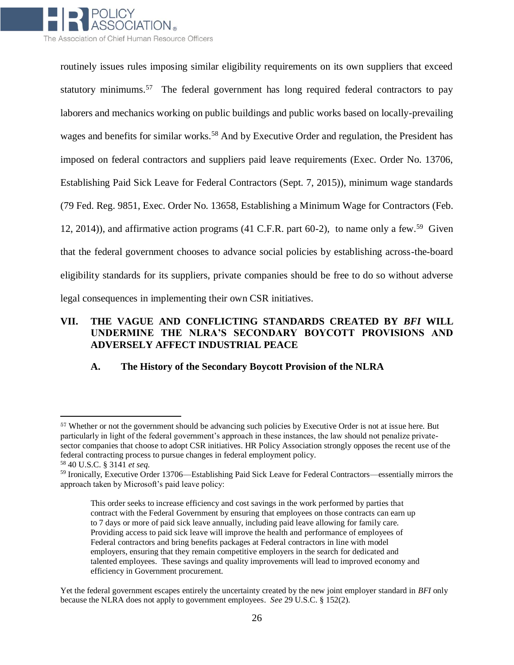

routinely issues rules imposing similar eligibility requirements on its own suppliers that exceed statutory minimums.<sup>57</sup> The federal government has long required federal contractors to pay laborers and mechanics working on public buildings and public works based on locally-prevailing wages and benefits for similar works.<sup>58</sup> And by Executive Order and regulation, the President has imposed on federal contractors and suppliers paid leave requirements (Exec. Order No. 13706, Establishing Paid Sick Leave for Federal Contractors (Sept. 7, 2015)), minimum wage standards (79 Fed. Reg. 9851, Exec. Order No. 13658, Establishing a Minimum Wage for Contractors (Feb. 12, 2014)), and affirmative action programs (41 C.F.R. part 60-2), to name only a few.<sup>59</sup> Given that the federal government chooses to advance social policies by establishing across-the-board eligibility standards for its suppliers, private companies should be free to do so without adverse legal consequences in implementing their own CSR initiatives.

# **VII. THE VAGUE AND CONFLICTING STANDARDS CREATED BY** *BFI* **WILL UNDERMINE THE NLRA'S SECONDARY BOYCOTT PROVISIONS AND ADVERSELY AFFECT INDUSTRIAL PEACE**

# **A. The History of the Secondary Boycott Provision of the NLRA**

<sup>57</sup> Whether or not the government should be advancing such policies by Executive Order is not at issue here. But particularly in light of the federal government's approach in these instances, the law should not penalize privatesector companies that choose to adopt CSR initiatives. HR Policy Association strongly opposes the recent use of the federal contracting process to pursue changes in federal employment policy.

<sup>58</sup> 40 U.S.C. § 3141 *et seq.*

<sup>59</sup> Ironically, Executive Order 13706—Establishing Paid Sick Leave for Federal Contractors—essentially mirrors the approach taken by Microsoft's paid leave policy:

This order seeks to increase efficiency and cost savings in the work performed by parties that contract with the Federal Government by ensuring that employees on those contracts can earn up to 7 days or more of paid sick leave annually, including paid leave allowing for family care. Providing access to paid sick leave will improve the health and performance of employees of Federal contractors and bring benefits packages at Federal contractors in line with model employers, ensuring that they remain competitive employers in the search for dedicated and talented employees. These savings and quality improvements will lead to improved economy and efficiency in Government procurement.

Yet the federal government escapes entirely the uncertainty created by the new joint employer standard in *BFI* only because the NLRA does not apply to government employees. *See* 29 U.S.C. § 152(2).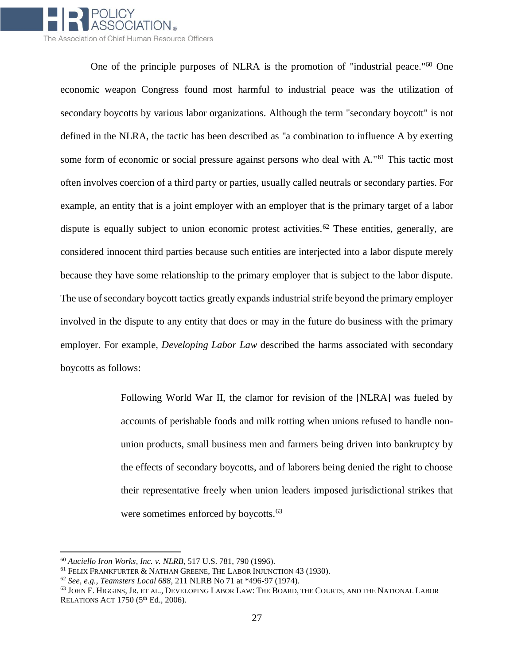

One of the principle purposes of NLRA is the promotion of "industrial peace."<sup>60</sup> One economic weapon Congress found most harmful to industrial peace was the utilization of secondary boycotts by various labor organizations. Although the term "secondary boycott" is not defined in the NLRA, the tactic has been described as "a combination to influence A by exerting some form of economic or social pressure against persons who deal with A."<sup>61</sup> This tactic most often involves coercion of a third party or parties, usually called neutrals or secondary parties. For example, an entity that is a joint employer with an employer that is the primary target of a labor dispute is equally subject to union economic protest activities.<sup>62</sup> These entities, generally, are considered innocent third parties because such entities are interjected into a labor dispute merely because they have some relationship to the primary employer that is subject to the labor dispute. The use of secondary boycott tactics greatly expands industrial strife beyond the primary employer involved in the dispute to any entity that does or may in the future do business with the primary employer. For example, *Developing Labor Law* described the harms associated with secondary boycotts as follows:

> Following World War II, the clamor for revision of the [NLRA] was fueled by accounts of perishable foods and milk rotting when unions refused to handle nonunion products, small business men and farmers being driven into bankruptcy by the effects of secondary boycotts, and of laborers being denied the right to choose their representative freely when union leaders imposed jurisdictional strikes that were sometimes enforced by boycotts.<sup>63</sup>

l

<sup>60</sup> *Auciello Iron Works, Inc. v. NLRB,* 517 U.S. 781, 790 (1996).

<sup>61</sup> FELIX FRANKFURTER & NATHAN GREENE, THE LABOR INJUNCTION 43 (1930).

<sup>62</sup> *See, e.g.*, *Teamsters Local 688*, 211 NLRB No 71 at \*496-97 (1974).

<sup>63</sup> JOHN E. HIGGINS, JR. ET AL., DEVELOPING LABOR LAW: THE BOARD, THE COURTS, AND THE NATIONAL LABOR RELATIONS ACT 1750 (5<sup>th</sup> Ed., 2006).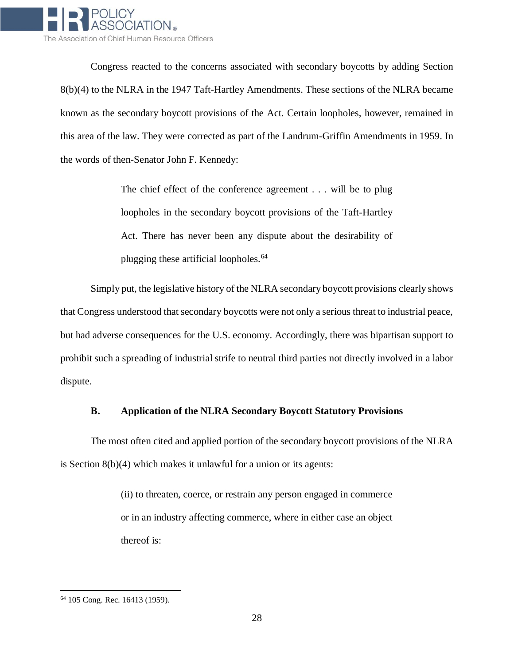

Congress reacted to the concerns associated with secondary boycotts by adding Section 8(b)(4) to the NLRA in the 1947 Taft-Hartley Amendments. These sections of the NLRA became known as the secondary boycott provisions of the Act. Certain loopholes, however, remained in this area of the law. They were corrected as part of the Landrum-Griffin Amendments in 1959. In the words of then-Senator John F. Kennedy:

> The chief effect of the conference agreement . . . will be to plug loopholes in the secondary boycott provisions of the Taft-Hartley Act. There has never been any dispute about the desirability of plugging these artificial loopholes.<sup>64</sup>

Simply put, the legislative history of the NLRA secondary boycott provisions clearly shows that Congress understood that secondary boycotts were not only a serious threat to industrial peace, but had adverse consequences for the U.S. economy. Accordingly, there was bipartisan support to prohibit such a spreading of industrial strife to neutral third parties not directly involved in a labor dispute.

#### **B. Application of the NLRA Secondary Boycott Statutory Provisions**

The most often cited and applied portion of the secondary boycott provisions of the NLRA is Section 8(b)(4) which makes it unlawful for a union or its agents:

> (ii) to threaten, coerce, or restrain any person engaged in commerce or in an industry affecting commerce, where in either case an object thereof is:

l

<sup>64</sup> 105 Cong. Rec. 16413 (1959).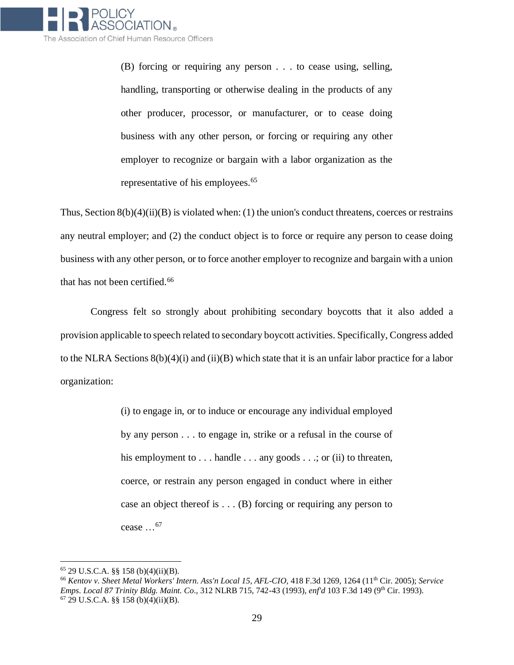

(B) forcing or requiring any person . . . to cease using, selling, handling, transporting or otherwise dealing in the products of any other producer, processor, or manufacturer, or to cease doing business with any other person, or forcing or requiring any other employer to recognize or bargain with a labor organization as the representative of his employees.<sup>65</sup>

Thus, Section  $8(b)(4)(ii)(B)$  is violated when: (1) the union's conduct threatens, coerces or restrains any neutral employer; and (2) the conduct object is to force or require any person to cease doing business with any other person, or to force another employer to recognize and bargain with a union that has not been certified.<sup>66</sup>

Congress felt so strongly about prohibiting secondary boycotts that it also added a provision applicable to speech related to secondary boycott activities. Specifically, Congress added to the NLRA Sections 8(b)(4)(i) and (ii)(B) which state that it is an unfair labor practice for a labor organization:

> (i) to engage in, or to induce or encourage any individual employed by any person . . . to engage in, strike or a refusal in the course of his employment to . . . handle . . . any goods . . .; or (ii) to threaten, coerce, or restrain any person engaged in conduct where in either case an object thereof is  $\dots$  (B) forcing or requiring any person to cease ...<sup>67</sup>

 $\overline{\phantom{0}}$ 

<sup>65</sup> 29 U.S.C.A. §§ 158 (b)(4)(ii)(B).

<sup>66</sup> *Kentov v. Sheet Metal Workers' Intern. Ass'n Local 15, AFL-CIO,* 418 F.3d 1269, 1264 (11th Cir. 2005); *Service Emps. Local 87 Trinity Bldg. Maint. Co., 312 NLRB 715, 742-43 (1993), <i>enf'd* 103 F.3d 149 (9<sup>th</sup> Cir. 1993).  $67$  29 U.S.C.A. §§ 158 (b)(4)(ii)(B).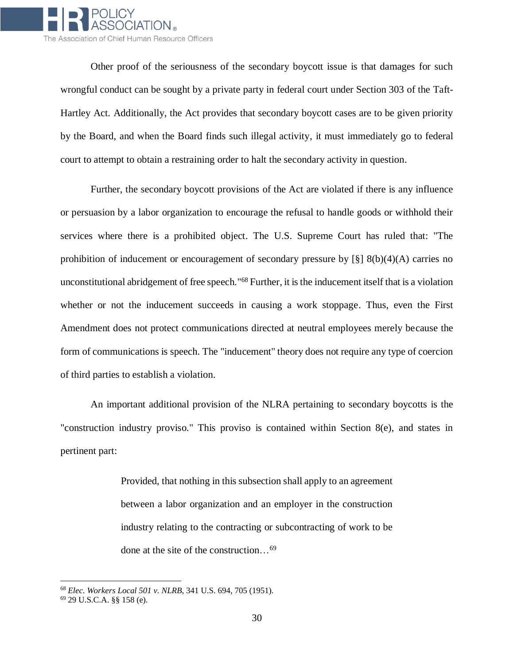

Other proof of the seriousness of the secondary boycott issue is that damages for such wrongful conduct can be sought by a private party in federal court under Section 303 of the Taft-Hartley Act. Additionally, the Act provides that secondary boycott cases are to be given priority by the Board, and when the Board finds such illegal activity, it must immediately go to federal court to attempt to obtain a restraining order to halt the secondary activity in question.

Further, the secondary boycott provisions of the Act are violated if there is any influence or persuasion by a labor organization to encourage the refusal to handle goods or withhold their services where there is a prohibited object. The U.S. Supreme Court has ruled that: "The prohibition of inducement or encouragement of secondary pressure by [§] 8(b)(4)(A) carries no unconstitutional abridgement of free speech."<sup>68</sup> Further, it is the inducement itself that is a violation whether or not the inducement succeeds in causing a work stoppage. Thus, even the First Amendment does not protect communications directed at neutral employees merely because the form of communications is speech. The "inducement" theory does not require any type of coercion of third parties to establish a violation.

An important additional provision of the NLRA pertaining to secondary boycotts is the "construction industry proviso." This proviso is contained within Section 8(e), and states in pertinent part:

> Provided, that nothing in this subsection shall apply to an agreement between a labor organization and an employer in the construction industry relating to the contracting or subcontracting of work to be done at the site of the construction…<sup>69</sup>

<sup>68</sup> *Elec. Workers Local 501 v. NLRB*, 341 U.S. 694, 705 (1951).

<sup>69</sup> 29 U.S.C.A. §§ 158 (e).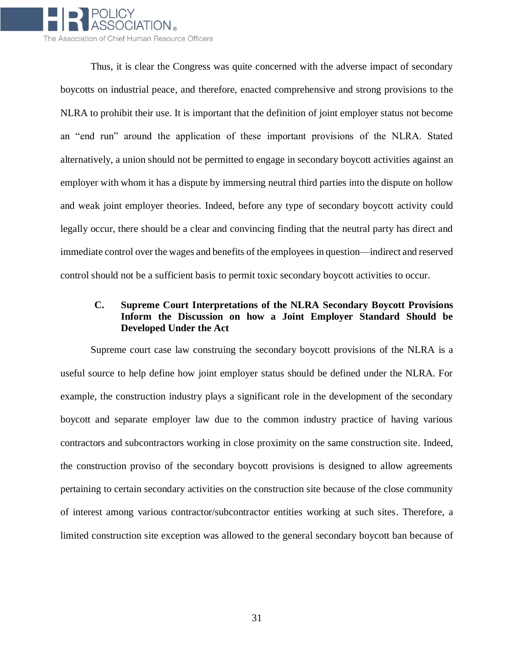

Thus, it is clear the Congress was quite concerned with the adverse impact of secondary boycotts on industrial peace, and therefore, enacted comprehensive and strong provisions to the NLRA to prohibit their use. It is important that the definition of joint employer status not become an "end run" around the application of these important provisions of the NLRA. Stated alternatively, a union should not be permitted to engage in secondary boycott activities against an employer with whom it has a dispute by immersing neutral third parties into the dispute on hollow and weak joint employer theories. Indeed, before any type of secondary boycott activity could legally occur, there should be a clear and convincing finding that the neutral party has direct and immediate control over the wages and benefits of the employees in question—indirect and reserved control should not be a sufficient basis to permit toxic secondary boycott activities to occur.

## **C. Supreme Court Interpretations of the NLRA Secondary Boycott Provisions Inform the Discussion on how a Joint Employer Standard Should be Developed Under the Act**

Supreme court case law construing the secondary boycott provisions of the NLRA is a useful source to help define how joint employer status should be defined under the NLRA. For example, the construction industry plays a significant role in the development of the secondary boycott and separate employer law due to the common industry practice of having various contractors and subcontractors working in close proximity on the same construction site. Indeed, the construction proviso of the secondary boycott provisions is designed to allow agreements pertaining to certain secondary activities on the construction site because of the close community of interest among various contractor/subcontractor entities working at such sites. Therefore, a limited construction site exception was allowed to the general secondary boycott ban because of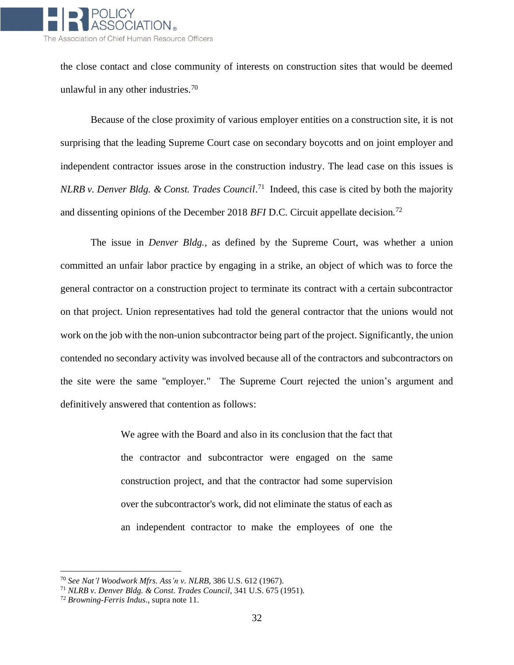

the close contact and close community of interests on construction sites that would be deemed unlawful in any other industries.<sup>70</sup>

Because of the close proximity of various employer entities on a construction site, it is not surprising that the leading Supreme Court case on secondary boycotts and on joint employer and independent contractor issues arose in the construction industry. The lead case on this issues is *NLRB v. Denver Bldg. & Const. Trades Council*. <sup>71</sup> Indeed, this case is cited by both the majority and dissenting opinions of the December 2018 *BFI* D.C. Circuit appellate decision.<sup>72</sup>

The issue in *Denver Bldg.*, as defined by the Supreme Court, was whether a union committed an unfair labor practice by engaging in a strike, an object of which was to force the general contractor on a construction project to terminate its contract with a certain subcontractor on that project. Union representatives had told the general contractor that the unions would not work on the job with the non-union subcontractor being part of the project. Significantly, the union contended no secondary activity was involved because all of the contractors and subcontractors on the site were the same "employer." The Supreme Court rejected the union's argument and definitively answered that contention as follows:

> We agree with the Board and also in its conclusion that the fact that the contractor and subcontractor were engaged on the same construction project, and that the contractor had some supervision over the subcontractor's work, did not eliminate the status of each as an independent contractor to make the employees of one the

<sup>70</sup> *See Nat'l Woodwork Mfrs. Ass'n v. NLRB*, 386 U.S. 612 (1967).

<sup>71</sup> *NLRB v. Denver Bldg. & Const. Trades Council*, 341 U.S. 675 (1951).

<sup>72</sup> *Browning-Ferris Indus.*, supra note 11.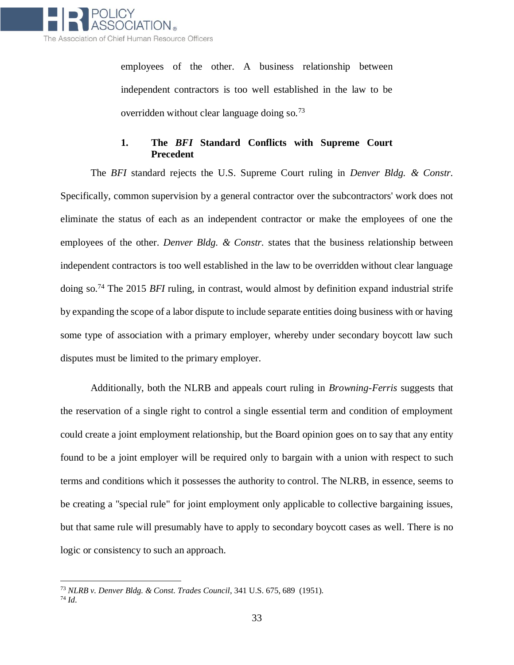

employees of the other. A business relationship between independent contractors is too well established in the law to be overridden without clear language doing so.<sup>73</sup>

#### **1. The** *BFI* **Standard Conflicts with Supreme Court Precedent**

The *BFI* standard rejects the U.S. Supreme Court ruling in *Denver Bldg. & Constr.*  Specifically, common supervision by a general contractor over the subcontractors' work does not eliminate the status of each as an independent contractor or make the employees of one the employees of the other. *Denver Bldg. & Constr.* states that the business relationship between independent contractors is too well established in the law to be overridden without clear language doing so. <sup>74</sup> The 2015 *BFI* ruling, in contrast, would almost by definition expand industrial strife by expanding the scope of a labor dispute to include separate entities doing business with or having some type of association with a primary employer, whereby under secondary boycott law such disputes must be limited to the primary employer.

Additionally, both the NLRB and appeals court ruling in *Browning-Ferris* suggests that the reservation of a single right to control a single essential term and condition of employment could create a joint employment relationship, but the Board opinion goes on to say that any entity found to be a joint employer will be required only to bargain with a union with respect to such terms and conditions which it possesses the authority to control. The NLRB, in essence, seems to be creating a "special rule" for joint employment only applicable to collective bargaining issues, but that same rule will presumably have to apply to secondary boycott cases as well. There is no logic or consistency to such an approach.

<sup>73</sup> *NLRB v. Denver Bldg. & Const. Trades Council*, 341 U.S. 675, 689 (1951). <sup>74</sup> *Id*.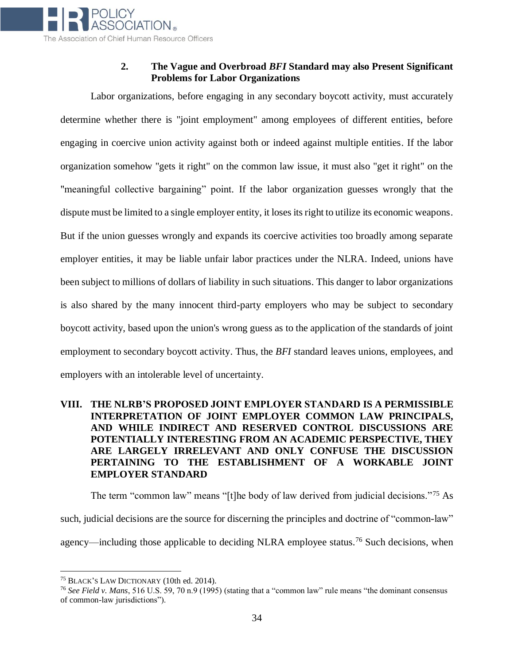

### **2. The Vague and Overbroad** *BFI* **Standard may also Present Significant Problems for Labor Organizations**

Labor organizations, before engaging in any secondary boycott activity, must accurately determine whether there is "joint employment" among employees of different entities, before engaging in coercive union activity against both or indeed against multiple entities. If the labor organization somehow "gets it right" on the common law issue, it must also "get it right" on the "meaningful collective bargaining" point. If the labor organization guesses wrongly that the dispute must be limited to a single employer entity, it loses its right to utilize its economic weapons. But if the union guesses wrongly and expands its coercive activities too broadly among separate employer entities, it may be liable unfair labor practices under the NLRA. Indeed, unions have been subject to millions of dollars of liability in such situations. This danger to labor organizations is also shared by the many innocent third-party employers who may be subject to secondary boycott activity, based upon the union's wrong guess as to the application of the standards of joint employment to secondary boycott activity. Thus, the *BFI* standard leaves unions, employees, and employers with an intolerable level of uncertainty.

# **VIII. THE NLRB'S PROPOSED JOINT EMPLOYER STANDARD IS A PERMISSIBLE INTERPRETATION OF JOINT EMPLOYER COMMON LAW PRINCIPALS, AND WHILE INDIRECT AND RESERVED CONTROL DISCUSSIONS ARE POTENTIALLY INTERESTING FROM AN ACADEMIC PERSPECTIVE, THEY ARE LARGELY IRRELEVANT AND ONLY CONFUSE THE DISCUSSION PERTAINING TO THE ESTABLISHMENT OF A WORKABLE JOINT EMPLOYER STANDARD**

The term "common law" means "[t]he body of law derived from judicial decisions."<sup>75</sup> As such, judicial decisions are the source for discerning the principles and doctrine of "common-law" agency—including those applicable to deciding NLRA employee status.<sup>76</sup> Such decisions, when

<sup>75</sup> BLACK'S LAW DICTIONARY (10th ed. 2014).

<sup>76</sup> *See Field v. Mans*, 516 U.S. 59, 70 n.9 (1995) (stating that a "common law" rule means "the dominant consensus of common-law jurisdictions").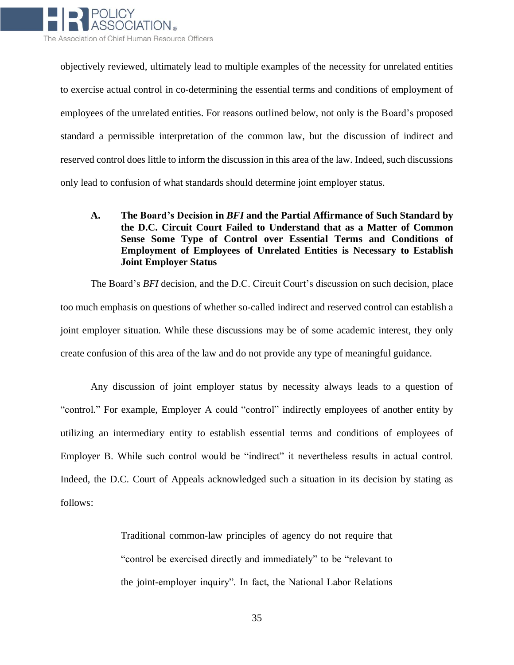

objectively reviewed, ultimately lead to multiple examples of the necessity for unrelated entities to exercise actual control in co-determining the essential terms and conditions of employment of employees of the unrelated entities. For reasons outlined below, not only is the Board's proposed standard a permissible interpretation of the common law, but the discussion of indirect and reserved control does little to inform the discussion in this area of the law. Indeed, such discussions only lead to confusion of what standards should determine joint employer status.

**A. The Board's Decision in** *BFI* **and the Partial Affirmance of Such Standard by the D.C. Circuit Court Failed to Understand that as a Matter of Common Sense Some Type of Control over Essential Terms and Conditions of Employment of Employees of Unrelated Entities is Necessary to Establish Joint Employer Status** 

The Board's *BFI* decision, and the D.C. Circuit Court's discussion on such decision, place too much emphasis on questions of whether so-called indirect and reserved control can establish a joint employer situation. While these discussions may be of some academic interest, they only create confusion of this area of the law and do not provide any type of meaningful guidance.

Any discussion of joint employer status by necessity always leads to a question of "control." For example, Employer A could "control" indirectly employees of another entity by utilizing an intermediary entity to establish essential terms and conditions of employees of Employer B. While such control would be "indirect" it nevertheless results in actual control. Indeed, the D.C. Court of Appeals acknowledged such a situation in its decision by stating as follows:

> Traditional common-law principles of agency do not require that "control be exercised directly and immediately" to be "relevant to the joint-employer inquiry". In fact, the National Labor Relations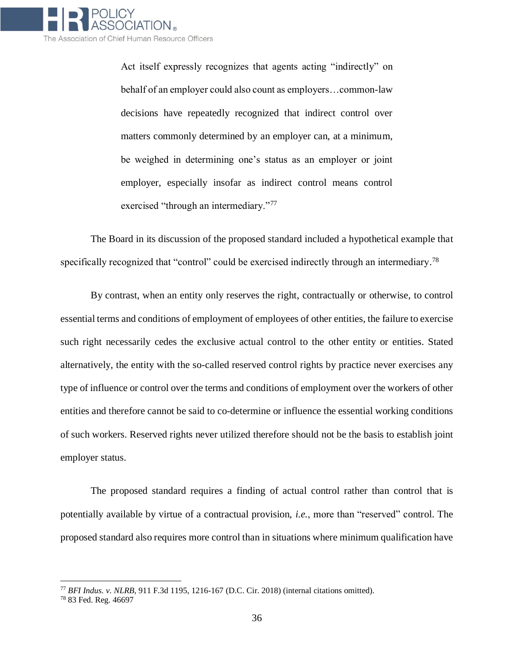

Act itself expressly recognizes that agents acting "indirectly" on behalf of an employer could also count as employers…common-law decisions have repeatedly recognized that indirect control over matters commonly determined by an employer can, at a minimum, be weighed in determining one's status as an employer or joint employer, especially insofar as indirect control means control exercised "through an intermediary."<sup>77</sup>

The Board in its discussion of the proposed standard included a hypothetical example that specifically recognized that "control" could be exercised indirectly through an intermediary.<sup>78</sup>

By contrast, when an entity only reserves the right, contractually or otherwise, to control essential terms and conditions of employment of employees of other entities, the failure to exercise such right necessarily cedes the exclusive actual control to the other entity or entities. Stated alternatively, the entity with the so-called reserved control rights by practice never exercises any type of influence or control over the terms and conditions of employment over the workers of other entities and therefore cannot be said to co-determine or influence the essential working conditions of such workers. Reserved rights never utilized therefore should not be the basis to establish joint employer status.

The proposed standard requires a finding of actual control rather than control that is potentially available by virtue of a contractual provision, *i.e.*, more than "reserved" control. The proposed standard also requires more control than in situations where minimum qualification have

<sup>77</sup> *BFI Indus. v. NLRB*, 911 F.3d 1195, 1216-167 (D.C. Cir. 2018) (internal citations omitted).

<sup>78</sup> 83 Fed. Reg. 46697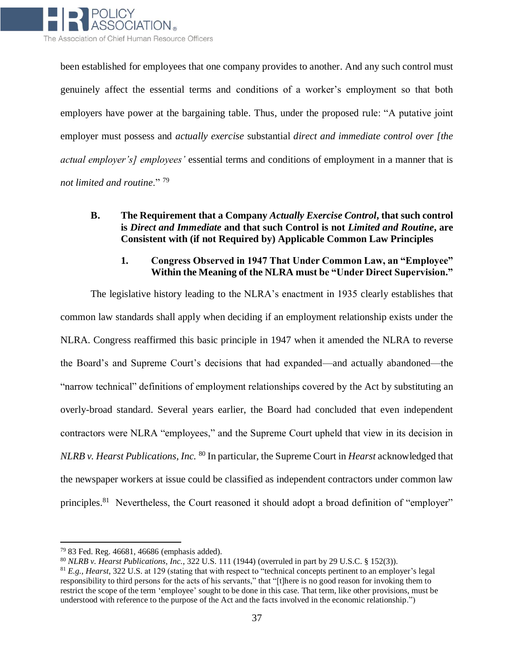

been established for employees that one company provides to another. And any such control must genuinely affect the essential terms and conditions of a worker's employment so that both employers have power at the bargaining table. Thus, under the proposed rule: "A putative joint employer must possess and *actually exercise* substantial *direct and immediate control over [the actual employer's] employees'* essential terms and conditions of employment in a manner that is *not limited and routine*." <sup>79</sup>

# **B. The Requirement that a Company** *Actually Exercise Control***, that such control is** *Direct and Immediate* **and that such Control is not** *Limited and Routine***, are Consistent with (if not Required by) Applicable Common Law Principles**

## **1. Congress Observed in 1947 That Under Common Law, an "Employee" Within the Meaning of the NLRA must be "Under Direct Supervision."**

The legislative history leading to the NLRA's enactment in 1935 clearly establishes that common law standards shall apply when deciding if an employment relationship exists under the NLRA. Congress reaffirmed this basic principle in 1947 when it amended the NLRA to reverse the Board's and Supreme Court's decisions that had expanded—and actually abandoned—the "narrow technical" definitions of employment relationships covered by the Act by substituting an overly-broad standard. Several years earlier, the Board had concluded that even independent contractors were NLRA "employees," and the Supreme Court upheld that view in its decision in *NLRB v. Hearst Publications, Inc.* <sup>80</sup> In particular, the Supreme Court in *Hearst* acknowledged that the newspaper workers at issue could be classified as independent contractors under common law principles.<sup>81</sup> Nevertheless, the Court reasoned it should adopt a broad definition of "employer"

<sup>79</sup> 83 Fed. Reg. 46681, 46686 (emphasis added).

<sup>80</sup> *NLRB v. Hearst Publications, Inc.*, 322 U.S. 111 (1944) (overruled in part by 29 U.S.C. § 152(3)).

<sup>81</sup> *E.g., Hearst*, 322 U.S. at 129 (stating that with respect to "technical concepts pertinent to an employer's legal responsibility to third persons for the acts of his servants," that "[t]here is no good reason for invoking them to restrict the scope of the term 'employee' sought to be done in this case. That term, like other provisions, must be understood with reference to the purpose of the Act and the facts involved in the economic relationship.")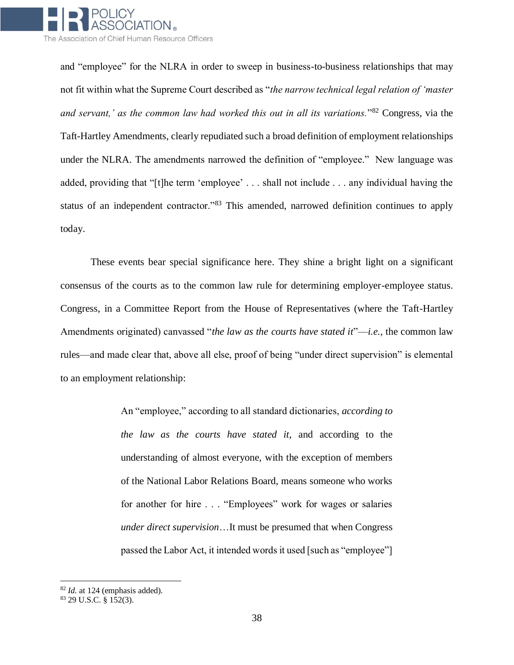

and "employee" for the NLRA in order to sweep in business-to-business relationships that may not fit within what the Supreme Court described as "*the narrow technical legal relation of 'master and servant,' as the common law had worked this out in all its variations.*" <sup>82</sup> Congress, via the Taft-Hartley Amendments, clearly repudiated such a broad definition of employment relationships under the NLRA. The amendments narrowed the definition of "employee." New language was added, providing that "[t]he term 'employee' . . . shall not include . . . any individual having the status of an independent contractor."<sup>83</sup> This amended, narrowed definition continues to apply today.

These events bear special significance here. They shine a bright light on a significant consensus of the courts as to the common law rule for determining employer-employee status. Congress, in a Committee Report from the House of Representatives (where the Taft-Hartley Amendments originated) canvassed "*the law as the courts have stated it*"—*i.e.*, the common law rules—and made clear that, above all else, proof of being "under direct supervision" is elemental to an employment relationship:

> An "employee," according to all standard dictionaries, *according to the law as the courts have stated it*, and according to the understanding of almost everyone, with the exception of members of the National Labor Relations Board, means someone who works for another for hire . . . "Employees" work for wages or salaries *under direct supervision*…It must be presumed that when Congress passed the Labor Act, it intended words it used [such as "employee"]

<sup>82</sup> *Id.* at 124 (emphasis added).

 $83$  29 U.S.C. § 152(3).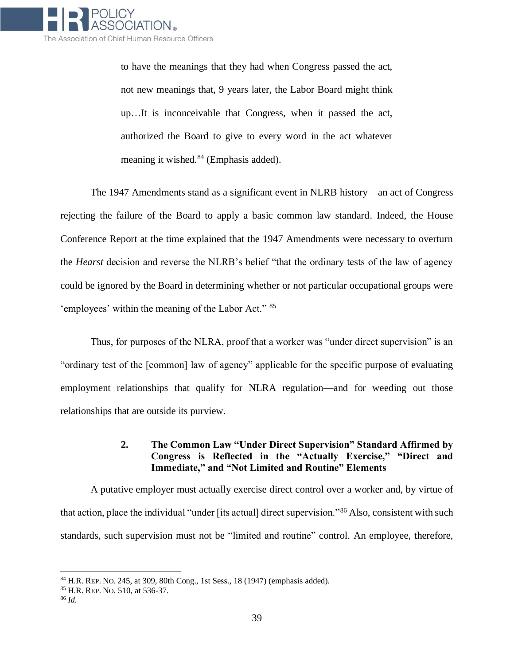

to have the meanings that they had when Congress passed the act, not new meanings that, 9 years later, the Labor Board might think up…It is inconceivable that Congress, when it passed the act, authorized the Board to give to every word in the act whatever meaning it wished.<sup>84</sup> (Emphasis added).

The 1947 Amendments stand as a significant event in NLRB history—an act of Congress rejecting the failure of the Board to apply a basic common law standard. Indeed, the House Conference Report at the time explained that the 1947 Amendments were necessary to overturn the *Hearst* decision and reverse the NLRB's belief "that the ordinary tests of the law of agency could be ignored by the Board in determining whether or not particular occupational groups were 'employees' within the meaning of the Labor Act." <sup>85</sup>

Thus, for purposes of the NLRA, proof that a worker was "under direct supervision" is an "ordinary test of the [common] law of agency" applicable for the specific purpose of evaluating employment relationships that qualify for NLRA regulation—and for weeding out those relationships that are outside its purview.

# **2. The Common Law "Under Direct Supervision" Standard Affirmed by Congress is Reflected in the "Actually Exercise," "Direct and Immediate," and "Not Limited and Routine" Elements**

A putative employer must actually exercise direct control over a worker and, by virtue of that action, place the individual "under [its actual] direct supervision."<sup>86</sup> Also, consistent with such standards, such supervision must not be "limited and routine" control. An employee, therefore,

<sup>84</sup> H.R. REP. NO. 245, at 309, 80th Cong., 1st Sess., 18 (1947) (emphasis added).

<sup>85</sup> H.R. REP. NO. 510, at 536-37.

<sup>86</sup> *Id.*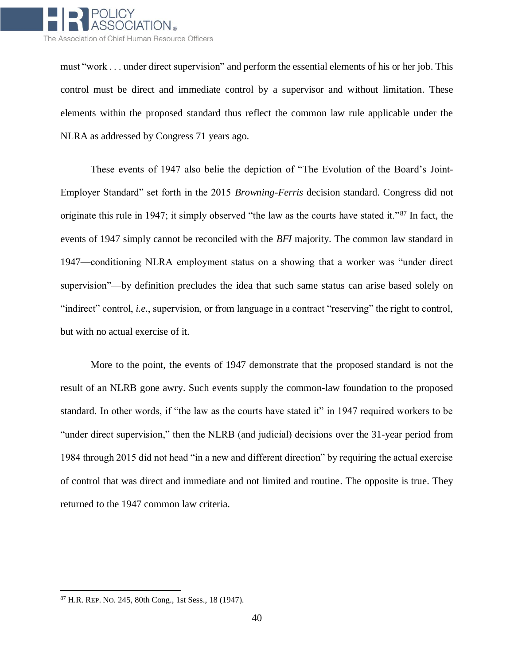

must "work . . . under direct supervision" and perform the essential elements of his or her job. This control must be direct and immediate control by a supervisor and without limitation. These elements within the proposed standard thus reflect the common law rule applicable under the NLRA as addressed by Congress 71 years ago.

These events of 1947 also belie the depiction of "The Evolution of the Board's Joint-Employer Standard" set forth in the 2015 *Browning-Ferris* decision standard. Congress did not originate this rule in 1947; it simply observed "the law as the courts have stated it."<sup>87</sup> In fact, the events of 1947 simply cannot be reconciled with the *BFI* majority. The common law standard in 1947—conditioning NLRA employment status on a showing that a worker was "under direct supervision"—by definition precludes the idea that such same status can arise based solely on "indirect" control, *i.e.*, supervision, or from language in a contract "reserving" the right to control, but with no actual exercise of it.

More to the point, the events of 1947 demonstrate that the proposed standard is not the result of an NLRB gone awry. Such events supply the common-law foundation to the proposed standard. In other words, if "the law as the courts have stated it" in 1947 required workers to be "under direct supervision," then the NLRB (and judicial) decisions over the 31-year period from 1984 through 2015 did not head "in a new and different direction" by requiring the actual exercise of control that was direct and immediate and not limited and routine. The opposite is true. They returned to the 1947 common law criteria.

l

<sup>87</sup> H.R. REP. NO. 245, 80th Cong., 1st Sess., 18 (1947).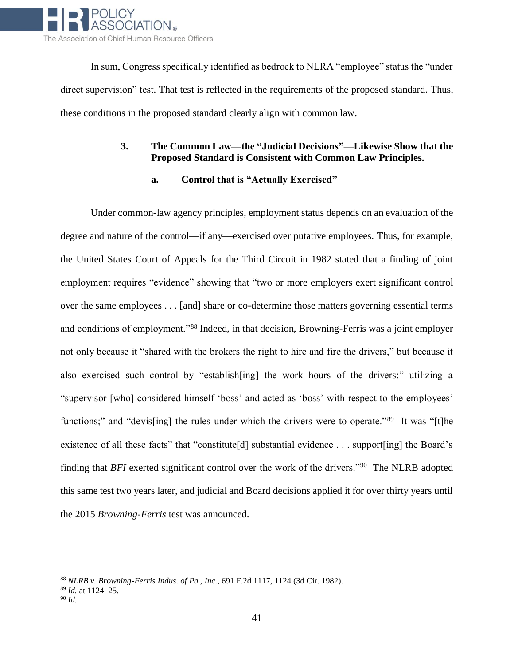

In sum, Congress specifically identified as bedrock to NLRA "employee" status the "under direct supervision" test. That test is reflected in the requirements of the proposed standard. Thus, these conditions in the proposed standard clearly align with common law.

# **3. The Common Law—the "Judicial Decisions"—Likewise Show that the Proposed Standard is Consistent with Common Law Principles.**

#### **a. Control that is "Actually Exercised"**

Under common-law agency principles, employment status depends on an evaluation of the degree and nature of the control—if any—exercised over putative employees. Thus, for example, the United States Court of Appeals for the Third Circuit in 1982 stated that a finding of joint employment requires "evidence" showing that "two or more employers exert significant control over the same employees . . . [and] share or co-determine those matters governing essential terms and conditions of employment."<sup>88</sup> Indeed, in that decision, Browning-Ferris was a joint employer not only because it "shared with the brokers the right to hire and fire the drivers," but because it also exercised such control by "establish[ing] the work hours of the drivers;" utilizing a "supervisor [who] considered himself 'boss' and acted as 'boss' with respect to the employees' functions;" and "devis[ing] the rules under which the drivers were to operate."<sup>89</sup> It was "[t]he existence of all these facts" that "constitute [d] substantial evidence . . . support [ing] the Board's finding that *BFI* exerted significant control over the work of the drivers."<sup>90</sup> The NLRB adopted this same test two years later, and judicial and Board decisions applied it for over thirty years until the 2015 *Browning-Ferris* test was announced.

<sup>88</sup> *NLRB v. Browning-Ferris Indus. of Pa., Inc.*, 691 F.2d 1117, 1124 (3d Cir. 1982).

<sup>89</sup> *Id.* at 1124–25.

<sup>90</sup> *Id.*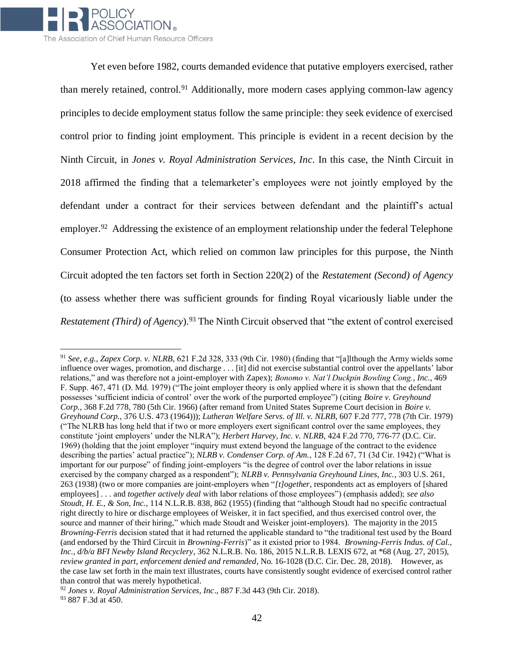

l

Yet even before 1982, courts demanded evidence that putative employers exercised, rather than merely retained, control.<sup>91</sup> Additionally, more modern cases applying common-law agency principles to decide employment status follow the same principle: they seek evidence of exercised control prior to finding joint employment. This principle is evident in a recent decision by the Ninth Circuit, in *Jones v. Royal Administration Services, Inc*. In this case, the Ninth Circuit in 2018 affirmed the finding that a telemarketer's employees were not jointly employed by the defendant under a contract for their services between defendant and the plaintiff's actual employer.<sup>92</sup> Addressing the existence of an employment relationship under the federal Telephone Consumer Protection Act, which relied on common law principles for this purpose, the Ninth Circuit adopted the ten factors set forth in Section 220(2) of the *Restatement (Second) of Agency*  (to assess whether there was sufficient grounds for finding Royal vicariously liable under the *Restatement (Third) of Agency*).<sup>93</sup> The Ninth Circuit observed that "the extent of control exercised

<sup>91</sup> *See, e.g., Zapex Corp. v. NLRB*, 621 F.2d 328, 333 (9th Cir. 1980) (finding that "[a]lthough the Army wields some influence over wages, promotion, and discharge . . . [it] did not exercise substantial control over the appellants' labor relations," and was therefore not a joint-employer with Zapex); *Bonomo v. Nat'l Duckpin Bowling Cong., Inc.*, 469 F. Supp. 467, 471 (D. Md. 1979) ("The joint employer theory is only applied where it is shown that the defendant possesses 'sufficient indicia of control' over the work of the purported employee") (citing *Boire v. Greyhound Corp.*, 368 F.2d 778, 780 (5th Cir. 1966) (after remand from United States Supreme Court decision in *Boire v. Greyhound Corp.*, 376 U.S. 473 (1964))); *Lutheran Welfare Servs. of Ill. v. NLRB*, 607 F.2d 777, 778 (7th Cir. 1979) ("The NLRB has long held that if two or more employers exert significant control over the same employees, they constitute 'joint employers' under the NLRA"); *Herbert Harvey, Inc. v. NLRB*, 424 F.2d 770, 776-77 (D.C. Cir. 1969) (holding that the joint employer "inquiry must extend beyond the language of the contract to the evidence describing the parties' actual practice"); *NLRB v. Condenser Corp. of Am.*, 128 F.2d 67, 71 (3d Cir. 1942) ("What is important for our purpose" of finding joint-employers "is the degree of control over the labor relations in issue exercised by the company charged as a respondent"); *NLRB v. Pennsylvania Greyhound Lines, Inc.*, 303 U.S. 261, 263 (1938) (two or more companies are joint-employers when "*[t]ogether*, respondents act as employers of [shared employees] . . . and *together actively deal* with labor relations of those employees") (emphasis added); *see also Stoudt, H. E., & Son, Inc.*, 114 N.L.R.B. 838, 862 (1955) (finding that "although Stoudt had no specific contractual right directly to hire or discharge employees of Weisker, it in fact specified, and thus exercised control over, the source and manner of their hiring," which made Stoudt and Weisker joint-employers). The majority in the 2015 *Browning-Ferris* decision stated that it had returned the applicable standard to "the traditional test used by the Board (and endorsed by the Third Circuit in *Browning-Ferris*)" as it existed prior to 1984. *Browning-Ferris Indus. of Cal., Inc., d/b/a BFI Newby Island Recyclery*, 362 N.L.R.B. No. 186, 2015 N.L.R.B. LEXIS 672, at \*68 (Aug. 27, 2015), *review granted in part, enforcement denied and remanded*, No. 16-1028 (D.C. Cir. Dec. 28, 2018). However, as the case law set forth in the main text illustrates, courts have consistently sought evidence of exercised control rather than control that was merely hypothetical.

<sup>92</sup> *Jones v. Royal Administration Services, Inc*., 887 F.3d 443 (9th Cir. 2018). <sup>93</sup> 887 F.3d at 450.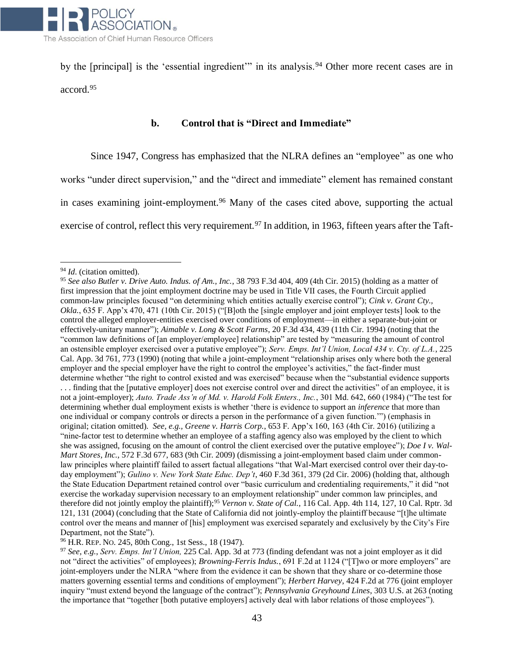

by the [principal] is the 'essential ingredient'" in its analysis.<sup>94</sup> Other more recent cases are in accord.<sup>95</sup>

#### **b. Control that is "Direct and Immediate"**

Since 1947, Congress has emphasized that the NLRA defines an "employee" as one who works "under direct supervision," and the "direct and immediate" element has remained constant in cases examining joint-employment.<sup>96</sup> Many of the cases cited above, supporting the actual exercise of control, reflect this very requirement.<sup>97</sup> In addition, in 1963, fifteen years after the Taft-

l

<sup>96</sup> H.R. REP. NO. 245, 80th Cong., 1st Sess., 18 (1947).

<sup>94</sup> *Id*. (citation omitted).

<sup>95</sup> *See also Butler v. Drive Auto. Indus. of Am., Inc.*, 38 793 F.3d 404, 409 (4th Cir. 2015) (holding as a matter of first impression that the joint employment doctrine may be used in Title VII cases, the Fourth Circuit applied common-law principles focused "on determining which entities actually exercise control"); *Cink v. Grant Cty., Okla.*, 635 F. App'x 470, 471 (10th Cir. 2015) ("[B]oth the [single employer and joint employer tests] look to the control the alleged employer-entities exercised over conditions of employment—in either a separate-but-joint or effectively-unitary manner"); *Aimable v. Long & Scott Farms*, 20 F.3d 434, 439 (11th Cir. 1994) (noting that the "common law definitions of [an employer/employee] relationship" are tested by "measuring the amount of control an ostensible employer exercised over a putative employee"); *Serv. Emps. Int'l Union, Local 434 v. Cty. of L.A.*, 225 Cal. App. 3d 761, 773 (1990) (noting that while a joint-employment "relationship arises only where both the general employer and the special employer have the right to control the employee's activities," the fact-finder must determine whether "the right to control existed and was exercised" because when the "substantial evidence supports . . . finding that the [putative employer] does not exercise control over and direct the activities" of an employee, it is not a joint-employer); *Auto. Trade Ass'n of Md. v. Harold Folk Enters., Inc.*, 301 Md. 642, 660 (1984) ("The test for determining whether dual employment exists is whether 'there is evidence to support an *inference* that more than one individual or company controls or directs a person in the performance of a given function.'") (emphasis in original; citation omitted). *See, e.g., Greene v. Harris Corp.*, 653 F. App'x 160, 163 (4th Cir. 2016) (utilizing a "nine-factor test to determine whether an employee of a staffing agency also was employed by the client to which she was assigned, focusing on the amount of control the client exercised over the putative employee"); *Doe I v. Wal-Mart Stores, Inc.*, 572 F.3d 677, 683 (9th Cir. 2009) (dismissing a joint-employment based claim under commonlaw principles where plaintiff failed to assert factual allegations "that Wal-Mart exercised control over their day-today employment"); *Gulino v. New York State Educ. Dep't*, 460 F.3d 361, 379 (2d Cir. 2006) (holding that, although the State Education Department retained control over "basic curriculum and credentialing requirements," it did "not exercise the workaday supervision necessary to an employment relationship" under common law principles, and therefore did not jointly employ the plaintiff);<sup>95</sup> *Vernon v. State of Cal.*, 116 Cal. App. 4th 114, 127, 10 Cal. Rptr. 3d 121, 131 (2004) (concluding that the State of California did not jointly-employ the plaintiff because "[t]he ultimate control over the means and manner of [his] employment was exercised separately and exclusively by the City's Fire Department, not the State").

<sup>97</sup> *See, e.g.*, *Serv. Emps. Int'l Union,* 225 Cal. App. 3d at 773 (finding defendant was not a joint employer as it did not "direct the activities" of employees); *Browning-Ferris Indus.*, 691 F.2d at 1124 ("[T]wo or more employers" are joint-employers under the NLRA "where from the evidence it can be shown that they share or co-determine those matters governing essential terms and conditions of employment"); *Herbert Harvey*, 424 F.2d at 776 (joint employer inquiry "must extend beyond the language of the contract"); *Pennsylvania Greyhound Lines*, 303 U.S. at 263 (noting the importance that "together [both putative employers] actively deal with labor relations of those employees").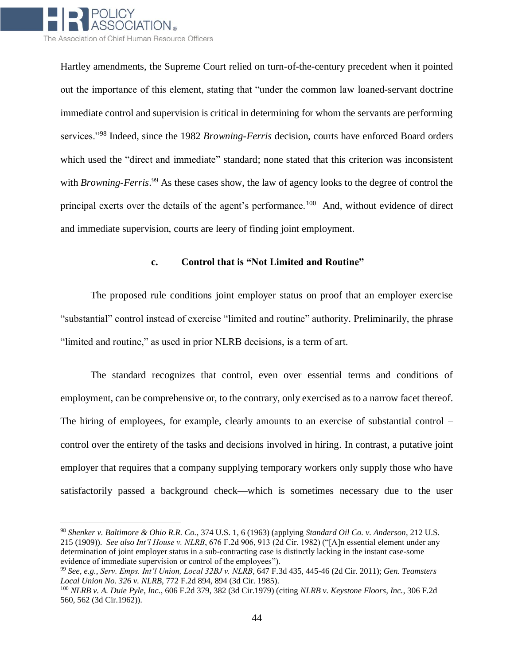

l

Hartley amendments, the Supreme Court relied on turn-of-the-century precedent when it pointed out the importance of this element, stating that "under the common law loaned-servant doctrine immediate control and supervision is critical in determining for whom the servants are performing services."<sup>98</sup> Indeed, since the 1982 *Browning-Ferris* decision, courts have enforced Board orders which used the "direct and immediate" standard; none stated that this criterion was inconsistent with *Browning-Ferris*. <sup>99</sup> As these cases show, the law of agency looks to the degree of control the principal exerts over the details of the agent's performance.<sup>100</sup> And, without evidence of direct and immediate supervision, courts are leery of finding joint employment.

#### **c. Control that is "Not Limited and Routine"**

The proposed rule conditions joint employer status on proof that an employer exercise "substantial" control instead of exercise "limited and routine" authority. Preliminarily, the phrase "limited and routine," as used in prior NLRB decisions, is a term of art.

The standard recognizes that control, even over essential terms and conditions of employment, can be comprehensive or, to the contrary, only exercised as to a narrow facet thereof. The hiring of employees, for example, clearly amounts to an exercise of substantial control – control over the entirety of the tasks and decisions involved in hiring. In contrast, a putative joint employer that requires that a company supplying temporary workers only supply those who have satisfactorily passed a background check—which is sometimes necessary due to the user

<sup>98</sup> *Shenker v. Baltimore & Ohio R.R. Co.*, 374 U.S. 1, 6 (1963) (applying *Standard Oil Co. v. Anderson*, 212 U.S. 215 (1909)). *See also Int'l House v. NLRB*, 676 F.2d 906, 913 (2d Cir. 1982) ("[A]n essential element under any determination of joint employer status in a sub-contracting case is distinctly lacking in the instant case-some evidence of immediate supervision or control of the employees").

<sup>99</sup> *See, e.g.*, *Serv. Emps. Int'l Union, Local 32BJ v. NLRB*, 647 F.3d 435, 445-46 (2d Cir. 2011); *Gen. Teamsters Local Union No. 326 v. NLRB*, 772 F.2d 894, 894 (3d Cir. 1985).

<sup>100</sup> *NLRB v. A. Duie Pyle, Inc.*, 606 F.2d 379, 382 (3d Cir.1979) (citing *NLRB v. Keystone Floors, Inc.*, 306 F.2d 560, 562 (3d Cir.1962)).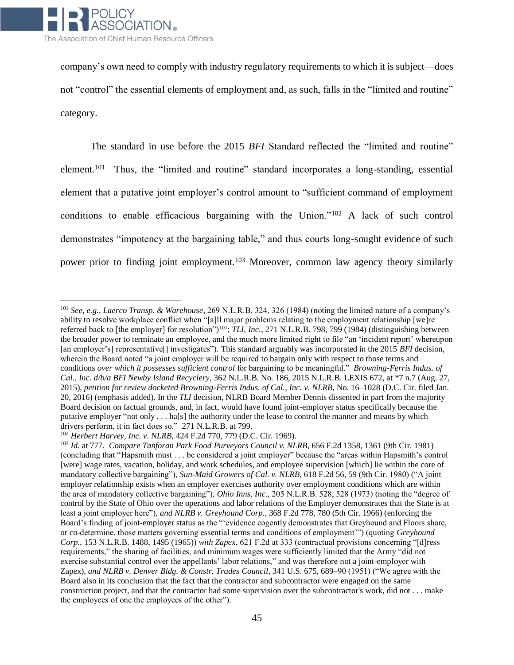$\overline{a}$ 

company's own need to comply with industry regulatory requirements to which it is subject—does not "control" the essential elements of employment and, as such, falls in the "limited and routine" category.

The standard in use before the 2015 *BFI* Standard reflected the "limited and routine" element.<sup>101</sup> Thus, the "limited and routine" standard incorporates a long-standing, essential element that a putative joint employer's control amount to "sufficient command of employment conditions to enable efficacious bargaining with the Union."<sup>102</sup> A lack of such control demonstrates "impotency at the bargaining table," and thus courts long-sought evidence of such power prior to finding joint employment.<sup>103</sup> Moreover, common law agency theory similarly

<sup>101</sup> *See, e.g.*, *Laerco Transp. & Warehouse*, 269 N.L.R.B. 324, 326 (1984) (noting the limited nature of a company's ability to resolve workplace conflict when "[a]ll major problems relating to the employment relationship [we]re referred back to [the employer] for resolution")<sup>101</sup>; *TLI, Inc.*, 271 N.L.R.B. 798, 799 (1984) (distinguishing between the broader power to terminate an employee, and the much more limited right to file "an 'incident report' whereupon [an employer's] representative[] investigates"). This standard arguably was incorporated in the 2015 *BFI* decision, wherein the Board noted "a joint employer will be required to bargain only with respect to those terms and conditions *over which it possesses sufficient control* for bargaining to be meaningful." *Browning-Ferris Indus. of Cal., Inc. d/b/a BFI Newby Island Recyclery*, 362 N.L.R.B. No. 186, 2015 N.L.R.B. LEXIS 672, at \*7 n.7 (Aug. 27, 2015), *petition for review docketed Browning-Ferris Indus. of Cal., Inc. v. NLRB*, No. 16–1028 (D.C. Cir. filed Jan. 20, 2016) (emphasis added). In the *TLI* decision, NLRB Board Member Dennis dissented in part from the majority Board decision on factual grounds, and, in fact, would have found joint-employer status specifically because the putative employer "not only . . . ha[s] the authority under the lease to control the manner and means by which drivers perform, it in fact does so." 271 N.L.R.B. at 799.

<sup>102</sup> *Herbert Harvey, Inc. v. NLRB*, 424 F.2d 770, 779 (D.C. Cir. 1969).

<sup>103</sup> *Id.* at 777. *Compare Tanforan Park Food Purveyors Council v. NLRB*, 656 F.2d 1358, 1361 (9th Cir. 1981) (concluding that "Hapsmith must . . . be considered a joint employer" because the "areas within Hapsmith's control [were] wage rates, vacation, holiday, and work schedules, and employee supervision [which] lie within the core of mandatory collective bargaining"), *Sun-Maid Growers of Cal. v. NLRB*, 618 F.2d 56, 59 (9th Cir. 1980) ("A joint employer relationship exists when an employer exercises authority over employment conditions which are within the area of mandatory collective bargaining"), *Ohio Inns, Inc*., 205 N.L.R.B. 528, 528 (1973) (noting the "degree of control by the State of Ohio over the operations and labor relations of the Employer demonstrates that the State is at least a joint employer here"), *and NLRB v. Greyhound Corp.*, 368 F.2d 778, 780 (5th Cir. 1966) (enforcing the Board's finding of joint-employer status as the "'evidence cogently demonstrates that Greyhound and Floors share, or co-determine, those matters governing essential terms and conditions of employment'") (quoting *Greyhound Corp.*, 153 N.L.R.B. 1488, 1495 (1965)) *with Zapex*, 621 F.2d at 333 (contractual provisions concerning "[d]ress requirements," the sharing of facilities, and minimum wages were sufficiently limited that the Army "did not exercise substantial control over the appellants' labor relations," and was therefore not a joint-employer with Zapex), *and NLRB v. Denver Bldg. & Constr. Trades Council*, 341 U.S. 675, 689–90 (1951) ("We agree with the Board also in its conclusion that the fact that the contractor and subcontractor were engaged on the same construction project, and that the contractor had some supervision over the subcontractor's work, did not . . . make the employees of one the employees of the other").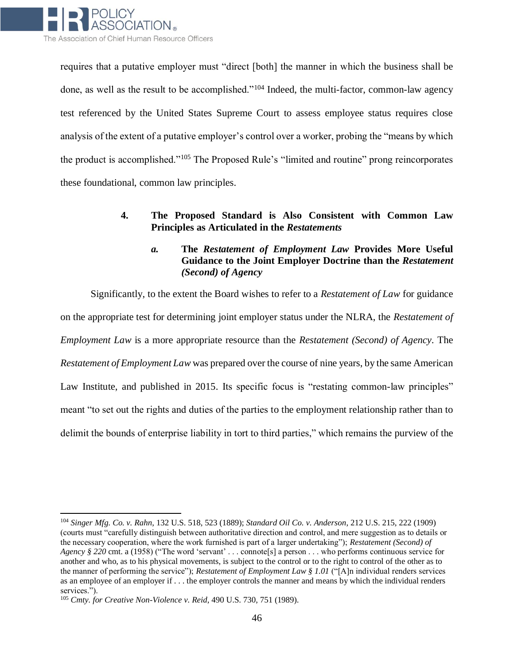

requires that a putative employer must "direct [both] the manner in which the business shall be done, as well as the result to be accomplished."<sup>104</sup> Indeed, the multi-factor, common-law agency test referenced by the United States Supreme Court to assess employee status requires close analysis of the extent of a putative employer's control over a worker, probing the "means by which the product is accomplished."<sup>105</sup> The Proposed Rule's "limited and routine" prong reincorporates these foundational, common law principles.

### **4. The Proposed Standard is Also Consistent with Common Law Principles as Articulated in the** *Restatements*

## *a.* **The** *Restatement of Employment Law* **Provides More Useful Guidance to the Joint Employer Doctrine than the** *Restatement (Second) of Agency*

Significantly, to the extent the Board wishes to refer to a *Restatement of Law* for guidance on the appropriate test for determining joint employer status under the NLRA, the *Restatement of Employment Law* is a more appropriate resource than the *Restatement (Second) of Agency*. The *Restatement of Employment Law* was prepared over the course of nine years, by the same American Law Institute, and published in 2015. Its specific focus is "restating common-law principles" meant "to set out the rights and duties of the parties to the employment relationship rather than to delimit the bounds of enterprise liability in tort to third parties," which remains the purview of the

<sup>104</sup> *Singer Mfg. Co. v. Rahn*, 132 U.S. 518, 523 (1889); *Standard Oil Co. v. Anderson*, 212 U.S. 215, 222 (1909) (courts must "carefully distinguish between authoritative direction and control, and mere suggestion as to details or the necessary cooperation, where the work furnished is part of a larger undertaking"); *Restatement (Second) of Agency § 220* cmt. a (1958) ("The word 'servant' . . . connote[s] a person . . . who performs continuous service for another and who, as to his physical movements, is subject to the control or to the right to control of the other as to the manner of performing the service"); *Restatement of Employment Law § 1.01* ("[A]n individual renders services as an employee of an employer if . . . the employer controls the manner and means by which the individual renders services.").

<sup>105</sup> *Cmty. for Creative Non-Violence v. Reid*, 490 U.S. 730, 751 (1989).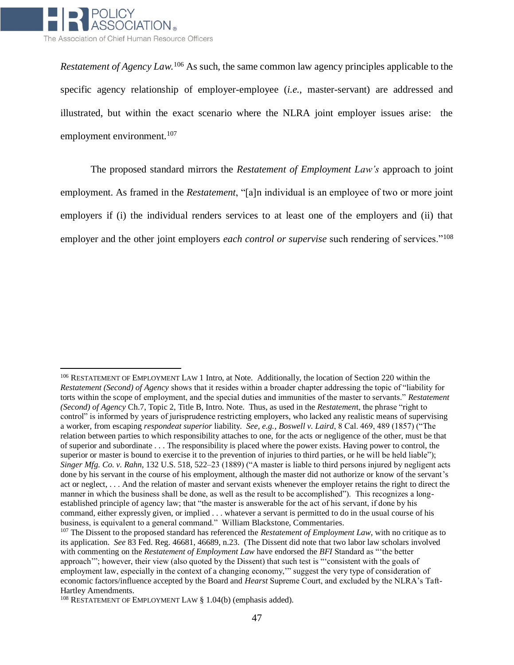

*Restatement of Agency Law.*<sup>106</sup> As such, the same common law agency principles applicable to the specific agency relationship of employer-employee (*i.e.*, master-servant) are addressed and illustrated, but within the exact scenario where the NLRA joint employer issues arise: the employment environment.<sup>107</sup>

The proposed standard mirrors the *Restatement of Employment Law's* approach to joint employment. As framed in the *Restatement*, "[a]n individual is an employee of two or more joint employers if (i) the individual renders services to at least one of the employers and (ii) that employer and the other joint employers *each control or supervise* such rendering of services."<sup>108</sup>

 $\overline{a}$ <sup>106</sup> RESTATEMENT OF EMPLOYMENT LAW 1 Intro, at Note. Additionally, the location of Section 220 within the *Restatement (Second) of Agency* shows that it resides within a broader chapter addressing the topic of "liability for torts within the scope of employment, and the special duties and immunities of the master to servants." *Restatement (Second) of Agency* Ch.7, Topic 2, Title B, Intro. Note. Thus, as used in the *Restatemen*t, the phrase "right to control" is informed by years of jurisprudence restricting employers, who lacked any realistic means of supervising a worker, from escaping *respondeat superior* liability. *See, e.g.*, *Boswell v. Laird*, 8 Cal. 469, 489 (1857) ("The relation between parties to which responsibility attaches to one, for the acts or negligence of the other, must be that of superior and subordinate . . . The responsibility is placed where the power exists. Having power to control, the superior or master is bound to exercise it to the prevention of injuries to third parties, or he will be held liable"); *Singer Mfg. Co. v. Rahn*, 132 U.S. 518, 522–23 (1889) ("A master is liable to third persons injured by negligent acts done by his servant in the course of his employment, although the master did not authorize or know of the servant's act or neglect, . . . And the relation of master and servant exists whenever the employer retains the right to direct the manner in which the business shall be done, as well as the result to be accomplished"). This recognizes a longestablished principle of agency law; that "the master is answerable for the act of his servant, if done by his command, either expressly given, or implied . . . whatever a servant is permitted to do in the usual course of his business, is equivalent to a general command." William Blackstone, Commentaries.

<sup>107</sup> The Dissent to the proposed standard has referenced the *Restatement of Employment Law*, with no critique as to its application. *See* 83 Fed. Reg. 46681, 46689, n.23. (The Dissent did note that two labor law scholars involved with commenting on the *Restatement of Employment Law* have endorsed the *BFI* Standard as "'the better approach'"; however, their view (also quoted by the Dissent) that such test is "'consistent with the goals of employment law, especially in the context of a changing economy,'" suggest the very type of consideration of economic factors/influence accepted by the Board and *Hearst* Supreme Court, and excluded by the NLRA's Taft-Hartley Amendments.

 $108$  RESTATEMENT OF EMPLOYMENT LAW § 1.04(b) (emphasis added).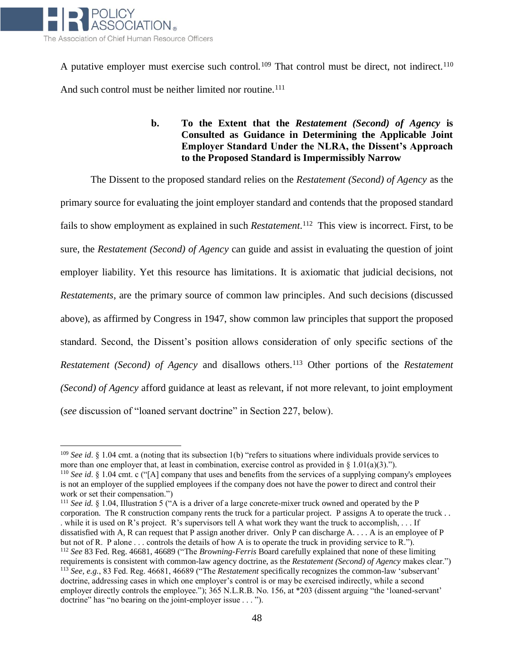

 $\overline{a}$ 

A putative employer must exercise such control.<sup>109</sup> That control must be direct, not indirect.<sup>110</sup> And such control must be neither limited nor routine.<sup>111</sup>

## **b. To the Extent that the** *Restatement (Second) of Agency* **is Consulted as Guidance in Determining the Applicable Joint Employer Standard Under the NLRA, the Dissent's Approach to the Proposed Standard is Impermissibly Narrow**

The Dissent to the proposed standard relies on the *Restatement (Second) of Agency* as the primary source for evaluating the joint employer standard and contends that the proposed standard fails to show employment as explained in such *Restatement*. 112 This view is incorrect. First, to be sure, the *Restatement (Second) of Agency* can guide and assist in evaluating the question of joint employer liability. Yet this resource has limitations. It is axiomatic that judicial decisions, not *Restatements*, are the primary source of common law principles. And such decisions (discussed above), as affirmed by Congress in 1947, show common law principles that support the proposed standard. Second, the Dissent's position allows consideration of only specific sections of the *Restatement (Second) of Agency and disallows others.*<sup>113</sup> Other portions of the *Restatement (Second) of Agency* afford guidance at least as relevant, if not more relevant, to joint employment (*see* discussion of "loaned servant doctrine" in Section 227, below).

<sup>111</sup> *See id.*  $\S$  1.04, Illustration 5 ("A is a driver of a large concrete-mixer truck owned and operated by the P corporation. The R construction company rents the truck for a particular project. P assigns A to operate the truck . . . while it is used on R's project. R's supervisors tell A what work they want the truck to accomplish, . . . If dissatisfied with A, R can request that P assign another driver. Only P can discharge A. . . . A is an employee of P but not of R. P alone . . . controls the details of how A is to operate the truck in providing service to R."). <sup>112</sup> *See* 83 Fed. Reg. 46681, 46689 ("The *Browning-Ferris* Board carefully explained that none of these limiting requirements is consistent with common-law agency doctrine, as the *Restatement (Second) of Agency* makes clear.") <sup>113</sup> *See, e.g.*, 83 Fed. Reg. 46681, 46689 ("The *Restatement* specifically recognizes the common-law 'subservant' doctrine, addressing cases in which one employer's control is or may be exercised indirectly, while a second employer directly controls the employee."); 365 N.L.R.B. No. 156, at \*203 (dissent arguing "the 'loaned-servant' doctrine" has "no bearing on the joint-employer issue . . . ").

<sup>&</sup>lt;sup>109</sup> *See id.* § 1.04 cmt. a (noting that its subsection 1(b) "refers to situations where individuals provide services to more than one employer that, at least in combination, exercise control as provided in § 1.01(a)(3).").

<sup>&</sup>lt;sup>110</sup> *See id.* § 1.04 cmt. c ("[A] company that uses and benefits from the services of a supplying company's employees is not an employer of the supplied employees if the company does not have the power to direct and control their work or set their compensation.")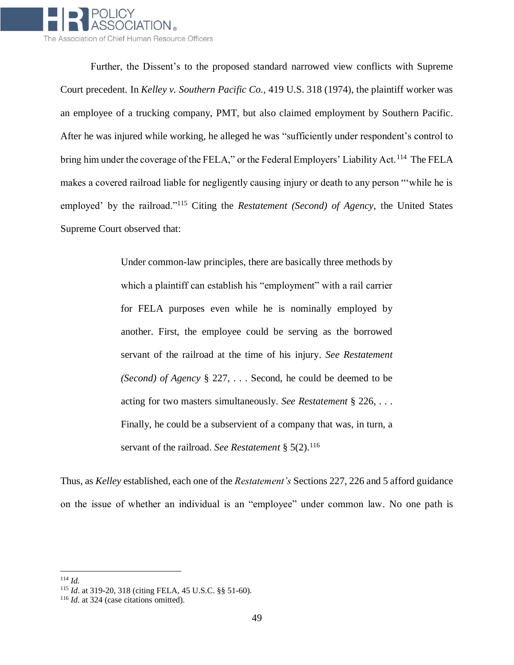

Further, the Dissent's to the proposed standard narrowed view conflicts with Supreme Court precedent. In *Kelley v. Southern Pacific Co.*, 419 U.S. 318 (1974), the plaintiff worker was an employee of a trucking company, PMT, but also claimed employment by Southern Pacific. After he was injured while working, he alleged he was "sufficiently under respondent's control to bring him under the coverage of the FELA," or the Federal Employers' Liability Act.<sup>114</sup> The FELA makes a covered railroad liable for negligently causing injury or death to any person "'while he is employed' by the railroad."<sup>115</sup> Citing the *Restatement (Second) of Agency*, the United States Supreme Court observed that:

> Under common-law principles, there are basically three methods by which a plaintiff can establish his "employment" with a rail carrier for FELA purposes even while he is nominally employed by another. First, the employee could be serving as the borrowed servant of the railroad at the time of his injury. *See Restatement (Second) of Agency* § 227, . . . Second, he could be deemed to be acting for two masters simultaneously. *See Restatement* § 226, . . . Finally, he could be a subservient of a company that was, in turn, a servant of the railroad. *See Restatement* § 5(2).<sup>116</sup>

Thus, as *Kelley* established, each one of the *Restatement's* Sections 227, 226 and 5 afford guidance on the issue of whether an individual is an "employee" under common law. No one path is

<sup>114</sup> *Id.*

<sup>115</sup> *Id*. at 319-20, 318 (citing FELA, 45 U.S.C. §§ 51-60).

<sup>116</sup> *Id*. at 324 (case citations omitted).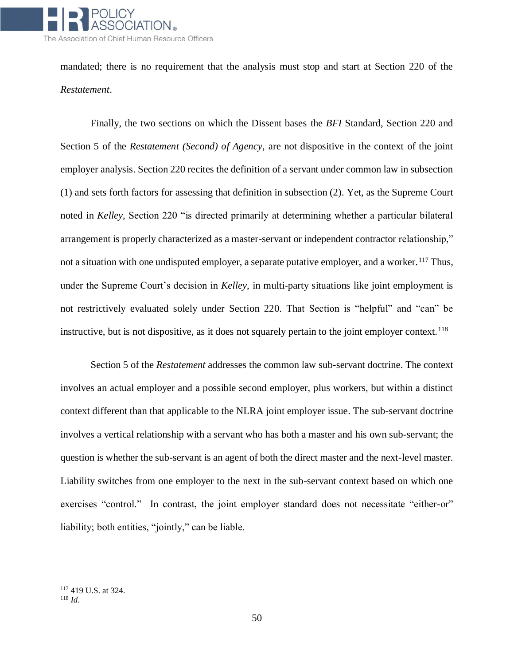

mandated; there is no requirement that the analysis must stop and start at Section 220 of the *Restatement*.

Finally, the two sections on which the Dissent bases the *BFI* Standard, Section 220 and Section 5 of the *Restatement (Second) of Agency*, are not dispositive in the context of the joint employer analysis. Section 220 recites the definition of a servant under common law in subsection (1) and sets forth factors for assessing that definition in subsection (2). Yet, as the Supreme Court noted in *Kelley,* Section 220 "is directed primarily at determining whether a particular bilateral arrangement is properly characterized as a master-servant or independent contractor relationship," not a situation with one undisputed employer, a separate putative employer, and a worker.<sup>117</sup> Thus, under the Supreme Court's decision in *Kelley*, in multi-party situations like joint employment is not restrictively evaluated solely under Section 220. That Section is "helpful" and "can" be instructive, but is not dispositive, as it does not squarely pertain to the joint employer context.  $^{118}$ 

Section 5 of the *Restatement* addresses the common law sub-servant doctrine. The context involves an actual employer and a possible second employer, plus workers, but within a distinct context different than that applicable to the NLRA joint employer issue. The sub-servant doctrine involves a vertical relationship with a servant who has both a master and his own sub-servant; the question is whether the sub-servant is an agent of both the direct master and the next-level master. Liability switches from one employer to the next in the sub-servant context based on which one exercises "control." In contrast, the joint employer standard does not necessitate "either-or" liability; both entities, "jointly," can be liable.

<sup>117</sup> 419 U.S. at 324.

<sup>118</sup> *Id*.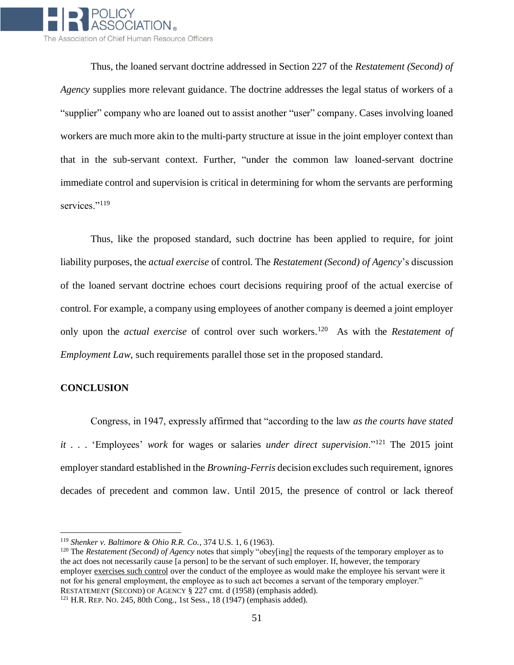

Thus, the loaned servant doctrine addressed in Section 227 of the *Restatement (Second) of Agency* supplies more relevant guidance. The doctrine addresses the legal status of workers of a "supplier" company who are loaned out to assist another "user" company. Cases involving loaned workers are much more akin to the multi-party structure at issue in the joint employer context than that in the sub-servant context. Further, "under the common law loaned-servant doctrine immediate control and supervision is critical in determining for whom the servants are performing services."<sup>119</sup>

Thus, like the proposed standard, such doctrine has been applied to require, for joint liability purposes, the *actual exercise* of control. The *Restatement (Second) of Agency*'s discussion of the loaned servant doctrine echoes court decisions requiring proof of the actual exercise of control. For example, a company using employees of another company is deemed a joint employer only upon the *actual exercise* of control over such workers.<sup>120</sup> As with the *Restatement of Employment Law*, such requirements parallel those set in the proposed standard.

#### **CONCLUSION**

 $\overline{\phantom{0}}$ 

Congress, in 1947, expressly affirmed that "according to the law *as the courts have stated it* . . . 'Employees' *work* for wages or salaries *under direct supervision*."<sup>121</sup> The 2015 joint employer standard established in the *Browning-Ferris* decision excludes such requirement, ignores decades of precedent and common law. Until 2015, the presence of control or lack thereof

<sup>119</sup> *Shenker v. Baltimore & Ohio R.R. Co.*, 374 U.S. 1, 6 (1963).

<sup>120</sup> The *Restatement (Second) of Agency* notes that simply "obey[ing] the requests of the temporary employer as to the act does not necessarily cause [a person] to be the servant of such employer. If, however, the temporary employer exercises such control over the conduct of the employee as would make the employee his servant were it not for his general employment, the employee as to such act becomes a servant of the temporary employer." RESTATEMENT (SECOND) OF AGENCY § 227 cmt. d (1958) (emphasis added).

<sup>121</sup> H.R. REP. NO. 245, 80th Cong., 1st Sess., 18 (1947) (emphasis added).